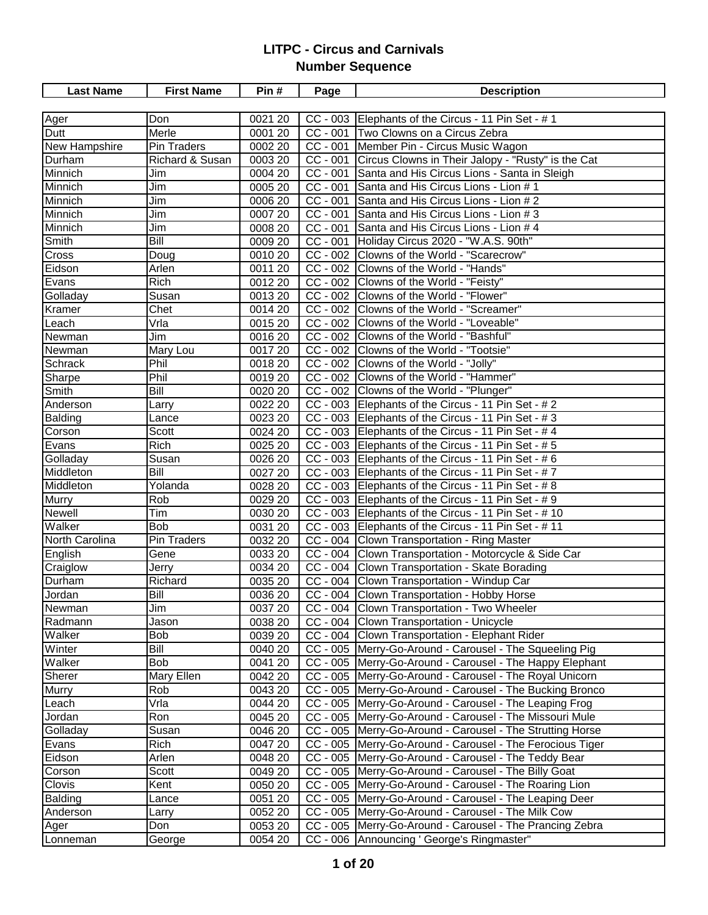| <b>Last Name</b> | <b>First Name</b> | Pin#                 | Page                  | <b>Description</b>                                         |
|------------------|-------------------|----------------------|-----------------------|------------------------------------------------------------|
|                  |                   |                      |                       |                                                            |
| Ager             | Don               | 002120               | $CC - 003$            | Elephants of the Circus - 11 Pin Set - # 1                 |
| Dutt             | Merle             | 0001 20              |                       | CC - 001 Two Clowns on a Circus Zebra                      |
| New Hampshire    | Pin Traders       | 0002 20              | $CC - 001$            | Member Pin - Circus Music Wagon                            |
| Durham           | Richard & Susan   | 0003 20              | $CC - 001$            | Circus Clowns in Their Jalopy - "Rusty" is the Cat         |
| <b>Minnich</b>   | Jim               | 0004 20              | $CC - 001$            | Santa and His Circus Lions - Santa in Sleigh               |
| Minnich          | Jim               | 0005 20              | $CC - 001$            | Santa and His Circus Lions - Lion # 1                      |
| Minnich          | Jim               | 0006 20              | $\overline{CC}$ - 001 | Santa and His Circus Lions - Lion # 2                      |
| Minnich          | Jim               | 0007 20              | $CC - 001$            | Santa and His Circus Lions - Lion # 3                      |
| Minnich          | Jim               | 0008 20              | $CC - 001$            | Santa and His Circus Lions - Lion # 4                      |
| Smith            | Bill              | 0009 20              | $\overline{CC}$ - 001 | Holiday Circus 2020 - "W.A.S. 90th"                        |
| Cross            | Doug              | 0010 20              |                       | CC - 002 Clowns of the World - "Scarecrow"                 |
| Eidson           | Arlen             | 0011 20              |                       | CC - 002 Clowns of the World - "Hands"                     |
| Evans            | Rich              | 0012 20              |                       | CC - 002 Clowns of the World - "Feisty"                    |
| Golladay         | Susan             | 0013 20              |                       | CC - 002 Clowns of the World - "Flower"                    |
| Kramer           | Chet              | 0014 20              |                       | CC - 002 Clowns of the World - "Screamer"                  |
| Leach            | Vrla              | 0015 20              |                       | CC - 002 Clowns of the World - "Loveable"                  |
| Newman           | Jim               | $\overline{0016}$ 20 |                       | CC - 002 Clowns of the World - "Bashful"                   |
| Newman           | Mary Lou          | 0017 20              |                       | CC - 002 Clowns of the World - "Tootsie"                   |
| Schrack          | Phil              | 0018 20              | $CC - 002$            | Clowns of the World - "Jolly"                              |
| Sharpe           | Phil              | 0019 20              |                       | CC - 002 Clowns of the World - "Hammer"                    |
| Smith            | Bill              | 0020 20              |                       | CC - 002 Clowns of the World - "Plunger"                   |
| Anderson         | Larry             | 0022 20              |                       | CC - 003 Elephants of the Circus - 11 Pin Set - # 2        |
| Balding          | Lance             | 0023 20              |                       | CC - 003 Elephants of the Circus - 11 Pin Set - #3         |
| Corson           | Scott             | 0024 20              |                       | CC - 003 Elephants of the Circus - 11 Pin Set - #4         |
| Evans            | Rich              | 0025 20              |                       | CC - 003 Elephants of the Circus - 11 Pin Set - # 5        |
| Golladay         | Susan             | 0026 20              |                       | CC - 003 Elephants of the Circus - 11 Pin Set - # 6        |
| Middleton        | Bill              | 0027 20              |                       | CC - 003 Elephants of the Circus - 11 Pin Set - #7         |
| Middleton        | Yolanda           | 0028 20              |                       | CC - 003 Elephants of the Circus - 11 Pin Set - #8         |
| Murry            | Rob               | 0029 20              |                       | CC - 003 Elephants of the Circus - 11 Pin Set - # 9        |
| <b>Newell</b>    | Tim               | 0030 20              |                       | CC - 003 Elephants of the Circus - 11 Pin Set - # 10       |
| Walker           | <b>Bob</b>        | 0031 20              |                       | CC - 003 Elephants of the Circus - 11 Pin Set - # 11       |
| North Carolina   | Pin Traders       | 0032 20              |                       | CC - 004 Clown Transportation - Ring Master                |
| English          | Gene              | 0033 20              |                       | CC - 004 Clown Transportation - Motorcycle & Side Car      |
| Craiglow         | Jerry             | 0034 20              |                       | CC - 004 Clown Transportation - Skate Borading             |
| Durham           | Richard           | 0035 20              |                       | CC - 004 Clown Transportation - Windup Car                 |
| Jordan           | Bill              | 0036 20              |                       | CC - 004 Clown Transportation - Hobby Horse                |
| Newman           | Jim               | 0037 20              |                       | CC - 004 Clown Transportation - Two Wheeler                |
| Radmann          | Jason             | 0038 20              |                       | CC - 004 Clown Transportation - Unicycle                   |
| Walker           | <b>Bob</b>        | 0039 20              |                       | CC - 004 Clown Transportation - Elephant Rider             |
| Winter           | Bill              | 0040 20              |                       | CC - 005 Merry-Go-Around - Carousel - The Squeeling Pig    |
| Walker           | Bob               | 0041 20              |                       | CC - 005   Merry-Go-Around - Carousel - The Happy Elephant |
| Sherer           | Mary Ellen        | 0042 20              |                       | CC - 005   Merry-Go-Around - Carousel - The Royal Unicorn  |
| Murry            | Rob               | 0043 20              |                       | CC - 005   Merry-Go-Around - Carousel - The Bucking Bronco |
| Leach            | Vrla              | 0044 20              |                       | CC - 005   Merry-Go-Around - Carousel - The Leaping Frog   |
| Jordan           | Ron               | 0045 20              |                       | CC - 005   Merry-Go-Around - Carousel - The Missouri Mule  |
| Golladay         | Susan             | 0046 20              |                       | CC - 005  Merry-Go-Around - Carousel - The Strutting Horse |
| Evans            | Rich              | 0047 20              |                       | CC - 005 Merry-Go-Around - Carousel - The Ferocious Tiger  |
| Eidson           | Arlen             | 0048 20              |                       | CC - 005 Merry-Go-Around - Carousel - The Teddy Bear       |
| Corson           | Scott             | 0049 20              |                       | CC - 005  Merry-Go-Around - Carousel - The Billy Goat      |
| Clovis           | Kent              | 0050 20              |                       | CC - 005 Merry-Go-Around - Carousel - The Roaring Lion     |
| Balding          | Lance             | 0051 20              |                       | CC - 005   Merry-Go-Around - Carousel - The Leaping Deer   |
| Anderson         | Larry             | 0052 20              |                       | CC - 005   Merry-Go-Around - Carousel - The Milk Cow       |
| Ager             | Don               | 0053 20              |                       | CC - 005 Merry-Go-Around - Carousel - The Prancing Zebra   |
| Lonneman         | George            | 0054 20              |                       | CC - 006 Announcing ' George's Ringmaster"                 |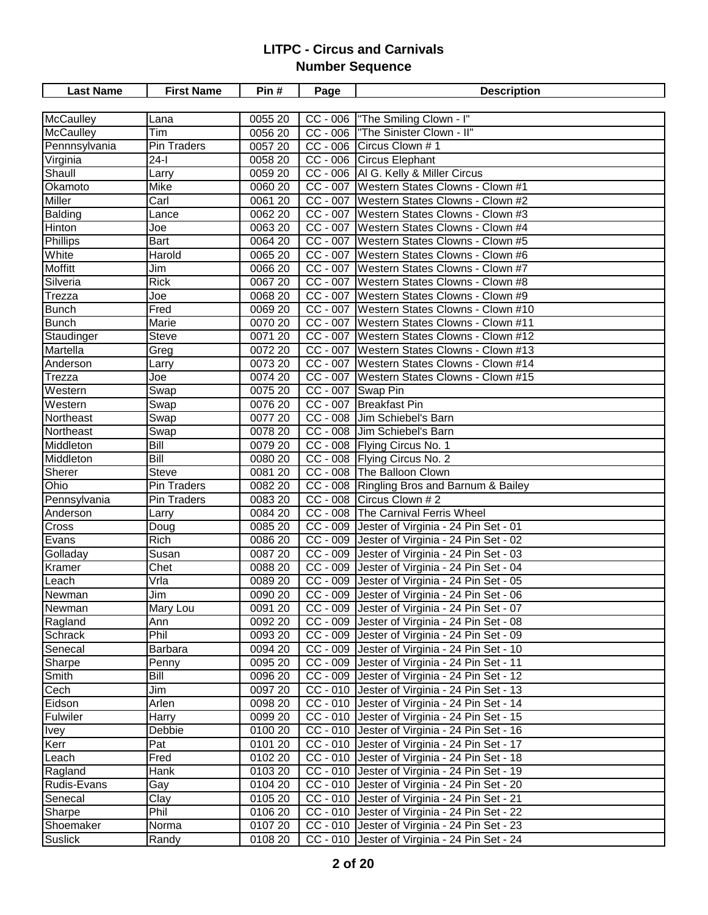| <b>Last Name</b> | <b>First Name</b> | Pin#                  | Page       | <b>Description</b>                            |
|------------------|-------------------|-----------------------|------------|-----------------------------------------------|
|                  |                   |                       |            |                                               |
| McCaulley        | Lana              | 0055 20               | $CC - 006$ | "The Smiling Clown - I"                       |
| McCaulley        | Tim               | 0056 20               | $CC - 006$ | "The Sinister Clown - II"                     |
| Pennnsylvania    | Pin Traders       | 0057 20               | $CC - 006$ | Circus Clown # 1                              |
| Virginia         | $24 -$            | 0058 20               |            | CC - 006 Circus Elephant                      |
| Shaull           | Larry             | 0059 20               |            | CC - 006   AI G. Kelly & Miller Circus        |
| Okamoto          | Mike              | 0060 20               |            | CC - 007 Western States Clowns - Clown #1     |
| Miller           | Carl              | 0061 20               |            | CC - 007 Western States Clowns - Clown #2     |
| Balding          | Lance             | 0062 20               |            | CC - 007   Western States Clowns - Clown #3   |
| Hinton           | Joe               | 0063 20               | $CC - 007$ | Western States Clowns - Clown #4              |
| Phillips         | Bart              | 0064 20               | $CC - 007$ | Western States Clowns - Clown #5              |
| White            | Harold            | 0065 20               | $CC - 007$ | Western States Clowns - Clown #6              |
| <b>Moffitt</b>   | Jim               | 0066 20               | $CC - 007$ | Western States Clowns - Clown #7              |
| Silveria         | <b>Rick</b>       | 0067 20               | $CC - 007$ | Western States Clowns - Clown #8              |
| Trezza           | Joe               | 0068 20               | $CC - 007$ | Western States Clowns - Clown #9              |
| <b>Bunch</b>     | Fred              | 0069 20               | $CC - 007$ | Western States Clowns - Clown #10             |
| <b>Bunch</b>     | Marie             | 0070 20               | $CC - 007$ | Western States Clowns - Clown #11             |
| Staudinger       | Steve             | 0071 20               | $CC - 007$ | Western States Clowns - Clown #12             |
| Martella         | Greg              | 0072 20               | $CC - 007$ | Western States Clowns - Clown #13             |
| Anderson         | Larry             | 0073 20               | $CC - 007$ | Western States Clowns - Clown #14             |
| Trezza           | Joe               | 0074 20               | $CC - 007$ | Western States Clowns - Clown #15             |
| Western          | Swap              | 0075 20               | $CC - 007$ | Swap Pin                                      |
| Western          | Swap              | 0076 20               | $CC - 007$ | <b>Breakfast Pin</b>                          |
| Northeast        | Swap              | 0077 20               | $CC - 008$ | Jim Schiebel's Barn                           |
| Northeast        | Swap              | 0078 20               | $CC - 008$ | Jim Schiebel's Barn                           |
| Middleton        | <b>Bill</b>       | 0079 20               |            | CC - 008 Flying Circus No. 1                  |
| Middleton        | <b>Bill</b>       | 0080 20               |            | CC - 008 Flying Circus No. 2                  |
| Sherer           | <b>Steve</b>      | 008120                |            | CC - 008 The Balloon Clown                    |
| Ohio             | Pin Traders       | 0082 20               | $CC - 008$ | Ringling Bros and Barnum & Bailey             |
| Pennsylvania     | Pin Traders       | 0083 20               | $CC - 008$ | Circus Clown #2                               |
| Anderson         | Larry             | 0084 20               |            | CC - 008 The Carnival Ferris Wheel            |
| Cross            | Doug              | 0085 20               |            | CC - 009 Jester of Virginia - 24 Pin Set - 01 |
| Evans            | Rich              | 0086 20               |            | CC - 009 Jester of Virginia - 24 Pin Set - 02 |
| Golladay         | Susan             | 0087 20               |            | CC - 009 Jester of Virginia - 24 Pin Set - 03 |
| Kramer           | Chet              | 0088 20               |            | CC - 009 Jester of Virginia - 24 Pin Set - 04 |
| Leach            | Vrla              | 0089 20               |            | CC - 009 Jester of Virginia - 24 Pin Set - 05 |
| Newman           | Jim               | 0090 20               |            | CC - 009 Jester of Virginia - 24 Pin Set - 06 |
| Newman           | Mary Lou          | 0091 20               |            | CC - 009 Jester of Virginia - 24 Pin Set - 07 |
| Ragland          | Ann               | 0092 20               |            | CC - 009 Jester of Virginia - 24 Pin Set - 08 |
| Schrack          | Phil              | 0093 20               |            | CC - 009 Jester of Virginia - 24 Pin Set - 09 |
| Senecal          | <b>Barbara</b>    | 0094 20               |            | CC - 009 Jester of Virginia - 24 Pin Set - 10 |
| Sharpe           | Penny             | 0095 20               |            | CC - 009 Jester of Virginia - 24 Pin Set - 11 |
| Smith            | Bill              | 0096 20               |            | CC - 009 Jester of Virginia - 24 Pin Set - 12 |
| Cech             | Jim               | 0097 20               |            | CC - 010 Jester of Virginia - 24 Pin Set - 13 |
| Eidson           | Arlen             | 0098 20               |            | CC - 010 Jester of Virginia - 24 Pin Set - 14 |
| Fulwiler         | Harry             | 0099 20               |            | CC - 010 Jester of Virginia - 24 Pin Set - 15 |
| <b>Ivey</b>      | Debbie            | 0100 20               |            | CC - 010 Jester of Virginia - 24 Pin Set - 16 |
| Kerr             | Pat               | 0101 20               |            | CC - 010 Jester of Virginia - 24 Pin Set - 17 |
| Leach            | Fred              | 0102 20               |            | CC - 010 Jester of Virginia - 24 Pin Set - 18 |
| Ragland          | Hank              | 0103 20               |            | CC - 010 Jester of Virginia - 24 Pin Set - 19 |
| Rudis-Evans      | Gay               | 0104 20               |            | CC - 010 Jester of Virginia - 24 Pin Set - 20 |
| Senecal          | Clay              | 0105 20               |            | CC - 010 Jester of Virginia - 24 Pin Set - 21 |
| Sharpe           | Phil              | 0106 20               |            | CC - 010 Jester of Virginia - 24 Pin Set - 22 |
| Shoemaker        | Norma             | 0107 20               |            | CC - 010 Jester of Virginia - 24 Pin Set - 23 |
| <b>Suslick</b>   | Randy             | $\overline{0}$ 108 20 |            | CC - 010 Jester of Virginia - 24 Pin Set - 24 |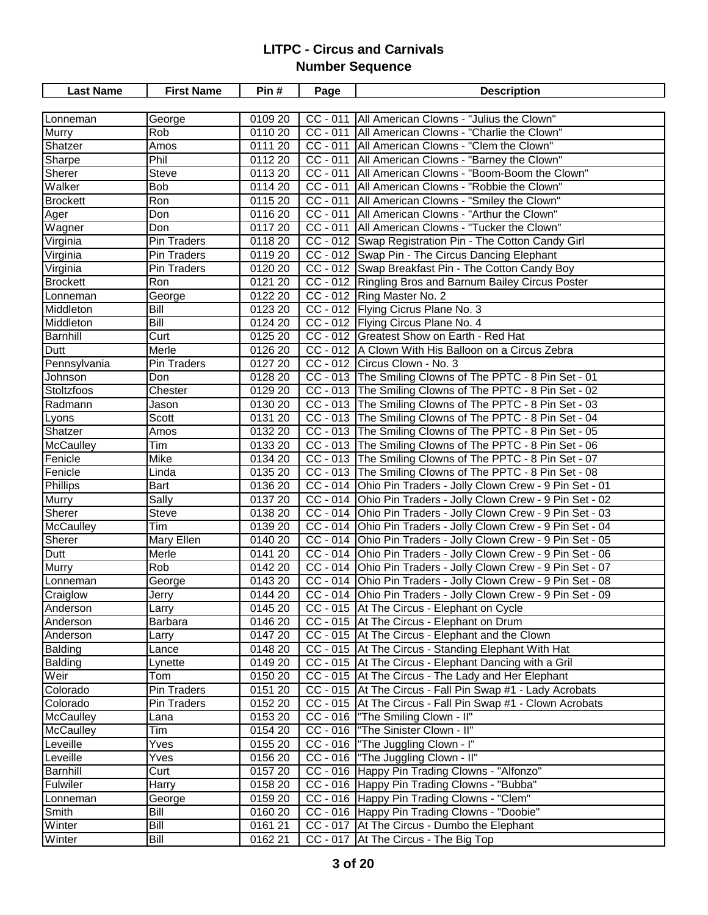| <b>Last Name</b>  | <b>First Name</b> | Pin#                  | Page                  | <b>Description</b>                                            |
|-------------------|-------------------|-----------------------|-----------------------|---------------------------------------------------------------|
|                   |                   |                       |                       |                                                               |
| Lonneman          | George            | 0109 20               | $CC - 011$            | All American Clowns - "Julius the Clown"                      |
| Murry             | Rob               | 0110 20               |                       | CC - 011   All American Clowns - "Charlie the Clown"          |
| Shatzer           | Amos              | 0111 20               |                       | CC - 011 All American Clowns - "Clem the Clown"               |
| Sharpe            | Phil              | 0112 20               |                       | CC - 011   All American Clowns - "Barney the Clown"           |
| Sherer            | <b>Steve</b>      | 0113 20               |                       | CC - 011 All American Clowns - "Boom-Boom the Clown"          |
| Walker            | <b>Bob</b>        | 0114 20               |                       | CC - 011   All American Clowns - "Robbie the Clown"           |
| <b>Brockett</b>   | Ron               | 0115 20               | $\overline{CC}$ - 011 | All American Clowns - "Smiley the Clown"                      |
| Ager              | Don               | 0116 20               |                       | CC - 011   All American Clowns - "Arthur the Clown"           |
| Wagner            | Don.              | 011720                |                       | CC - 011   All American Clowns - "Tucker the Clown"           |
| Virginia          | Pin Traders       | 0118 20               |                       | CC - 012 Swap Registration Pin - The Cotton Candy Girl        |
| Virginia          | Pin Traders       | 011920                |                       | CC - 012 Swap Pin - The Circus Dancing Elephant               |
| Virginia          | Pin Traders       | $\overline{0}$ 120 20 |                       | CC - 012 Swap Breakfast Pin - The Cotton Candy Boy            |
| <b>Brockett</b>   | Ron               | 0121 20               |                       | CC - 012 Ringling Bros and Barnum Bailey Circus Poster        |
| Lonneman          | George            | 0122 20               |                       | CC - 012   Ring Master No. 2                                  |
| Middleton         | Bill              | 0123 20               |                       | CC - 012 Flying Cicrus Plane No. 3                            |
| Middleton         | $\overline{Bill}$ | 0124 20               |                       | CC - 012 Flying Circus Plane No. 4                            |
| Barnhill          | Curt              | 0125 20               |                       | CC - 012 Greatest Show on Earth - Red Hat                     |
| Dutt              | Merle             | 0126 20               |                       | CC - 012 A Clown With His Balloon on a Circus Zebra           |
| Pennsylvania      | Pin Traders       | 0127 20               |                       | CC - 012 Circus Clown - No. 3                                 |
| Johnson           | Don               | 0128 20               |                       | CC - 013 The Smiling Clowns of The PPTC - 8 Pin Set - 01      |
| Stoltzfoos        | Chester           | 0129 20               |                       | CC - 013 The Smiling Clowns of The PPTC - 8 Pin Set - 02      |
| Radmann           | Jason             | 0130 20               |                       | CC - 013 The Smiling Clowns of The PPTC - 8 Pin Set - 03      |
| Lyons             | Scott             | 0131 20               |                       | CC - 013 The Smiling Clowns of The PPTC - 8 Pin Set - 04      |
| Shatzer           | Amos              | 0132 20               |                       | CC - 013 The Smiling Clowns of The PPTC - 8 Pin Set - 05      |
| McCaulley         | Tim               | 0133 20               |                       | CC - 013 The Smiling Clowns of The PPTC - 8 Pin Set - 06      |
| Fenicle           | Mike              | 0134 20               |                       | CC - 013 The Smiling Clowns of The PPTC - 8 Pin Set - 07      |
| Fenicle           | Linda             | 0135 20               |                       | CC - 013 The Smiling Clowns of The PPTC - 8 Pin Set - 08      |
| <b>Phillips</b>   | Bart              | $\overline{0136}$ 20  |                       | CC - 014 Ohio Pin Traders - Jolly Clown Crew - 9 Pin Set - 01 |
| <b>Murry</b>      | Sally             | 0137 20               |                       | CC - 014 Ohio Pin Traders - Jolly Clown Crew - 9 Pin Set - 02 |
| Sherer            | <b>Steve</b>      | 0138 20               |                       | CC - 014 Ohio Pin Traders - Jolly Clown Crew - 9 Pin Set - 03 |
| McCaulley         | Tim               | 0139 20               |                       | CC - 014 Ohio Pin Traders - Jolly Clown Crew - 9 Pin Set - 04 |
| Sherer            | <b>Mary Ellen</b> | 0140 20               |                       | CC - 014 Ohio Pin Traders - Jolly Clown Crew - 9 Pin Set - 05 |
| Dutt              | Merle             | 0141 20               |                       | CC - 014 Ohio Pin Traders - Jolly Clown Crew - 9 Pin Set - 06 |
| Murry             | Rob               | $\overline{0}$ 142 20 |                       | CC - 014 Ohio Pin Traders - Jolly Clown Crew - 9 Pin Set - 07 |
| Lonneman          | George            | 0143 20               |                       | CC - 014 Ohio Pin Traders - Jolly Clown Crew - 9 Pin Set - 08 |
| Craiglow          | Jerry             | 0144 20               |                       | CC - 014 Ohio Pin Traders - Jolly Clown Crew - 9 Pin Set - 09 |
| Anderson          | Larry             | 0145 20               |                       | CC - 015 At The Circus - Elephant on Cycle                    |
| Anderson          | Barbara           | 0146 20               |                       | CC - 015 At The Circus - Elephant on Drum                     |
| Anderson          | Larry             | 0147 20               |                       | CC - 015 At The Circus - Elephant and the Clown               |
| Balding           | Lance             | 0148 20               |                       | CC - 015 At The Circus - Standing Elephant With Hat           |
| <b>Balding</b>    | Lynette           | 0149 20               |                       | CC - 015 At The Circus - Elephant Dancing with a Gril         |
| Weir              | Tom               | 0150 20               |                       | CC - 015 At The Circus - The Lady and Her Elephant            |
| Colorado          | Pin Traders       | 0151 20               |                       | CC - 015 At The Circus - Fall Pin Swap #1 - Lady Acrobats     |
| Colorado          | Pin Traders       | 0152 20               |                       | CC - 015 At The Circus - Fall Pin Swap #1 - Clown Acrobats    |
| McCaulley         | Lana              | 0153 20               |                       | CC - 016   "The Smiling Clown - II"                           |
| McCaulley         | Tim               | 0154 20               |                       | CC - 016   "The Sinister Clown - II"                          |
| Leveille          | <b>Yves</b>       | 0155 20               |                       | CC - 016   "The Juggling Clown - I"                           |
| Leveille          | Yves              | 0156 20               |                       | CC - 016   "The Juggling Clown - II"                          |
| Barnhill          | Curt              | 0157 20               |                       | CC - 016 Happy Pin Trading Clowns - "Alfonzo"                 |
| Fulwiler          | Harry             | 0158 20               |                       | CC - 016 Happy Pin Trading Clowns - "Bubba"                   |
|                   |                   | 0159 20               |                       | CC - 016 Happy Pin Trading Clowns - "Clem"                    |
| Lonneman<br>Smith | George<br>Bill    | 0160 20               |                       | CC - 016   Happy Pin Trading Clowns - "Doobie"                |
| Winter            | Bill              | 0161 21               |                       | CC - 017 At The Circus - Dumbo the Elephant                   |
|                   | Bill              |                       |                       |                                                               |
| Winter            |                   | 0162 21               |                       | CC - 017 At The Circus - The Big Top                          |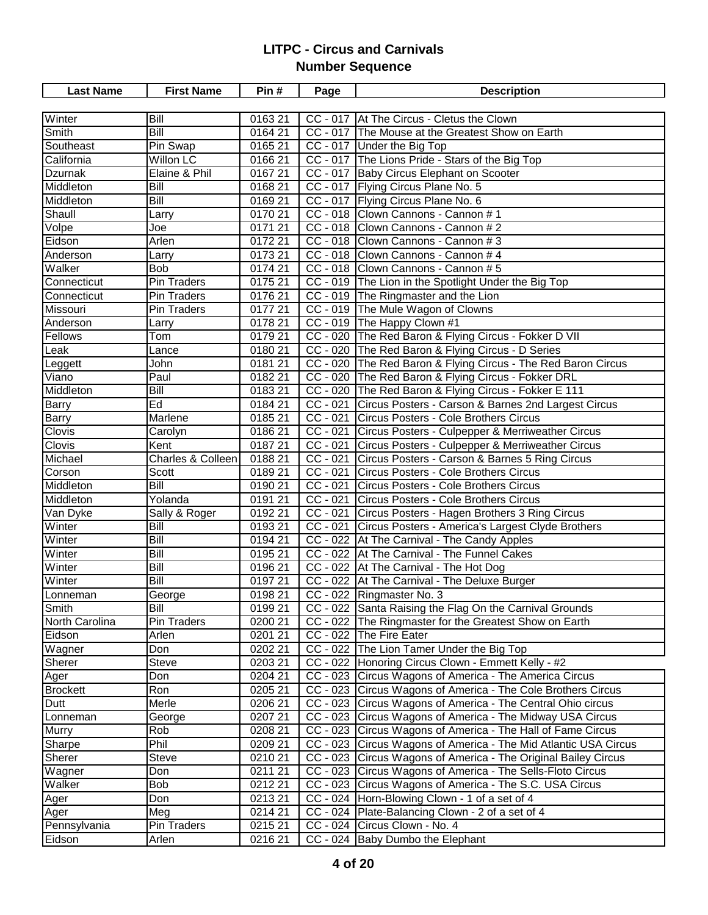| <b>Last Name</b> | <b>First Name</b>            | Pin#                | Page       | <b>Description</b>                                              |
|------------------|------------------------------|---------------------|------------|-----------------------------------------------------------------|
|                  |                              |                     |            |                                                                 |
| Winter           | Bill                         | 016321              |            | CC - 017 At The Circus - Cletus the Clown                       |
| Smith            | $\overline{Bill}$            | 0164 21             |            | CC - 017 The Mouse at the Greatest Show on Earth                |
| Southeast        | Pin Swap                     | 016521              |            | CC - 017 Under the Big Top                                      |
| California       | Willon LC                    | 016621              |            | CC - 017 The Lions Pride - Stars of the Big Top                 |
| <b>Dzurnak</b>   | Elaine & Phil                | 016721              |            | CC - 017 Baby Circus Elephant on Scooter                        |
| Middleton        | <b>Bill</b>                  | 016821              |            | CC - 017 Flying Circus Plane No. 5                              |
| Middleton        | Bill                         | 016921              |            | CC - 017 Flying Circus Plane No. 6                              |
| Shaull           | Larry                        | 0170 21             |            | CC - 018 Clown Cannons - Cannon # 1                             |
| Volpe            | Joe                          | 017121              |            | CC - 018 Clown Cannons - Cannon # 2                             |
| Eidson           | Arlen                        | 0172 21             |            | CC - 018 Clown Cannons - Cannon # 3                             |
| Anderson         | Larry                        | 0173 21             |            | CC - 018 Clown Cannons - Cannon # 4                             |
| Walker           | <b>Bob</b>                   | 0174 21             |            | CC - 018 Clown Cannons - Cannon # 5                             |
| Connecticut      | Pin Traders                  | 0175 21             |            | CC - 019 The Lion in the Spotlight Under the Big Top            |
| Connecticut      | Pin Traders                  | 0176 21             |            | CC - 019 The Ringmaster and the Lion                            |
| Missouri         | Pin Traders                  | 017721              |            | CC - 019 The Mule Wagon of Clowns                               |
| Anderson         | Larry                        | 0178 21             |            | CC - 019 The Happy Clown #1                                     |
| Fellows          | Tom                          | 0179 21             |            | CC - 020 The Red Baron & Flying Circus - Fokker D VII           |
| Leak             | Lance                        | 018021              |            | CC - 020 The Red Baron & Flying Circus - D Series               |
| Leggett          | John                         | 018121              |            | CC - 020 The Red Baron & Flying Circus - The Red Baron Circus   |
| Viano            | Paul                         | 0182 21             |            | CC - 020 The Red Baron & Flying Circus - Fokker DRL             |
| Middleton        | Bill                         | 018321              |            | CC - 020 The Red Baron & Flying Circus - Fokker E 111           |
| Barry            | Ed                           | 018421              | $CC - 021$ | Circus Posters - Carson & Barnes 2nd Largest Circus             |
| <b>Barry</b>     | Marlene                      | 018521              | $CC - 021$ | Circus Posters - Cole Brothers Circus                           |
| Clovis           | Carolyn                      | 018621              | $CC - 021$ | Circus Posters - Culpepper & Merriweather Circus                |
| Clovis           | Kent                         | $\overline{0}18721$ | $CC - 021$ | Circus Posters - Culpepper & Merriweather Circus                |
| Michael          | <b>Charles &amp; Colleen</b> | 0188 21             | $CC - 021$ | Circus Posters - Carson & Barnes 5 Ring Circus                  |
| Corson           | <b>Scott</b>                 | 018921              | $CC - 021$ | Circus Posters - Cole Brothers Circus                           |
| Middleton        | $\overline{Bill}$            | 019021              | $CC - 021$ | Circus Posters - Cole Brothers Circus                           |
| Middleton        | Yolanda                      | 0191 21             | $CC - 021$ | Circus Posters - Cole Brothers Circus                           |
| Van Dyke         | Sally & Roger                | 0192 21             | $CC - 021$ | Circus Posters - Hagen Brothers 3 Ring Circus                   |
| Winter           | Bill                         | 0193 21             | $CC - 021$ | Circus Posters - America's Largest Clyde Brothers               |
| Winter           | $\overline{Bill}$            | 0194 21             |            | CC - 022 At The Carnival - The Candy Apples                     |
| Winter           | Bill                         | 0195 21             |            | CC - 022 At The Carnival - The Funnel Cakes                     |
| Winter           | Bill                         | 0196 21             |            | CC - 022 At The Carnival - The Hot Dog                          |
| Winter           | Bill                         | 0197 21             |            | CC - 022 At The Carnival - The Deluxe Burger                    |
| Lonneman         | George                       | 0198 21             |            | CC - 022 Ringmaster No. 3                                       |
| Smith            | <b>Bill</b>                  | 0199 21             |            | CC - 022 Santa Raising the Flag On the Carnival Grounds         |
| North Carolina   | Pin Traders                  | 0200 21             |            | CC - 022 The Ringmaster for the Greatest Show on Earth          |
| Eidson           | Arlen                        | 0201 21             |            | CC - 022 The Fire Eater                                         |
| Wagner           | Don                          | 0202 21             |            | CC - 022 The Lion Tamer Under the Big Top                       |
| Sherer           | <b>Steve</b>                 | 0203 21             |            | CC - 022 Honoring Circus Clown - Emmett Kelly - #2              |
| Ager             | Don                          | 0204 21             |            | CC - 023 Circus Wagons of America - The America Circus          |
| <b>Brockett</b>  | Ron                          | 0205 21             |            | CC - 023 Circus Wagons of America - The Cole Brothers Circus    |
| Dutt             | Merle                        | 0206 21             |            | CC - 023 Circus Wagons of America - The Central Ohio circus     |
| Lonneman         | George                       | 0207 21             |            | CC - 023 Circus Wagons of America - The Midway USA Circus       |
| <b>Murry</b>     | Rob                          | 0208 21             |            | CC - 023 Circus Wagons of America - The Hall of Fame Circus     |
| Sharpe           | Phil                         | 0209 21             |            | CC - 023 Circus Wagons of America - The Mid Atlantic USA Circus |
| Sherer           | <b>Steve</b>                 | 0210 21             | $CC - 023$ | Circus Wagons of America - The Original Bailey Circus           |
| Wagner           | Don                          | 0211 21             |            | CC - 023 Circus Wagons of America - The Sells-Floto Circus      |
| Walker           | <b>Bob</b>                   | 021221              |            | CC - 023 Circus Wagons of America - The S.C. USA Circus         |
| Ager             | Don                          | 021321              |            | CC - 024 Horn-Blowing Clown - 1 of a set of 4                   |
| Ager             | Meg                          | 0214 21             |            | CC - 024 Plate-Balancing Clown - 2 of a set of 4                |
| Pennsylvania     | Pin Traders                  | 0215 21             |            | CC - 024 Circus Clown - No. 4                                   |
| Eidson           | Arlen                        | 0216 21             |            | CC - 024 Baby Dumbo the Elephant                                |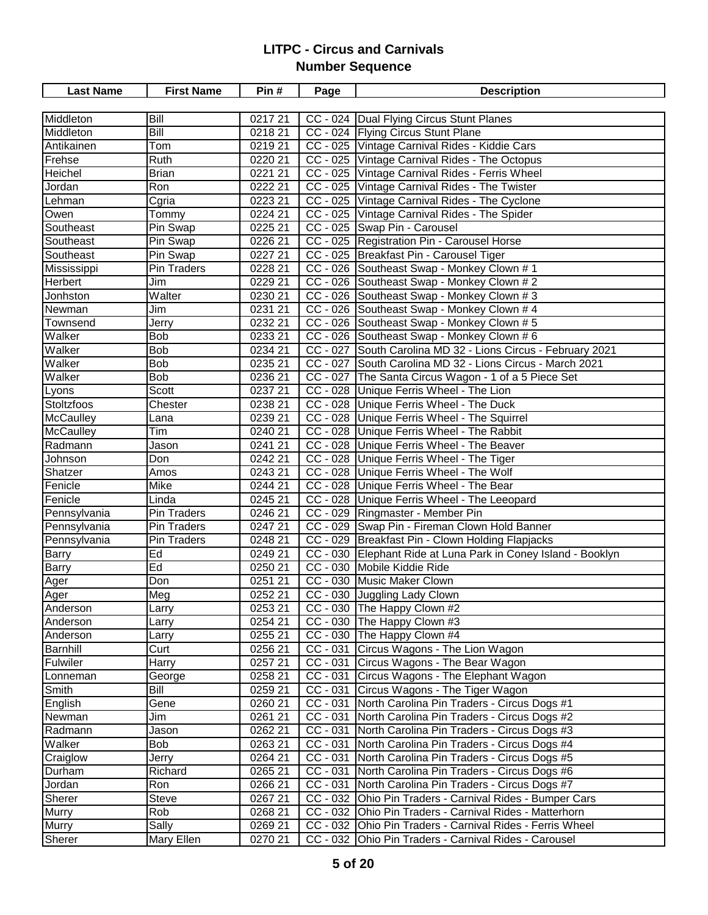| <b>Last Name</b> | <b>First Name</b>  | Pin#                  | Page       | <b>Description</b>                                            |
|------------------|--------------------|-----------------------|------------|---------------------------------------------------------------|
|                  |                    |                       |            |                                                               |
| Middleton        | Bill               | 021721                |            | CC - 024 Dual Flying Circus Stunt Planes                      |
| Middleton        | $\overline{Bill}$  | 0218 21               |            | CC - 024 Flying Circus Stunt Plane                            |
| Antikainen       | Tom                | 021921                |            | CC - 025 Vintage Carnival Rides - Kiddie Cars                 |
| Frehse           | Ruth               | 0220 21               |            | CC - 025 Vintage Carnival Rides - The Octopus                 |
| Heichel          | <b>Brian</b>       | 0221 21               |            | CC - 025 Vintage Carnival Rides - Ferris Wheel                |
| Jordan           | Ron                | 0222 21               | $CC - 025$ | Vintage Carnival Rides - The Twister                          |
| Lehman           | Cgria              | 0223 21               |            | CC - 025 Vintage Carnival Rides - The Cyclone                 |
| Owen             | Tommy              | 0224 21               |            | CC - 025 Vintage Carnival Rides - The Spider                  |
| Southeast        | Pin Swap           | 022521                |            | CC - 025 Swap Pin - Carousel                                  |
| Southeast        | Pin Swap           | 0226 21               |            | CC - 025 Registration Pin - Carousel Horse                    |
| Southeast        | Pin Swap           | 0227 21               |            | CC - 025 Breakfast Pin - Carousel Tiger                       |
| Mississippi      | Pin Traders        | $\overline{0}$ 228 21 |            | CC - 026 Southeast Swap - Monkey Clown #1                     |
| Herbert          | Jim                | 0229 21               |            | CC - 026 Southeast Swap - Monkey Clown # 2                    |
| Jonhston         | Walter             | 0230 21               |            | CC - 026 Southeast Swap - Monkey Clown #3                     |
| Newman           | Jim                | 0231 21               |            | CC - 026 Southeast Swap - Monkey Clown # 4                    |
| Townsend         | Jerry              | 0232 21               |            | CC - 026 Southeast Swap - Monkey Clown # 5                    |
| Walker           | <b>Bob</b>         | 0233 21               |            | CC - 026 Southeast Swap - Monkey Clown # 6                    |
| Walker           | <b>Bob</b>         | $\overline{0}23421$   | $CC - 027$ | South Carolina MD 32 - Lions Circus - February 2021           |
| Walker           | <b>Bob</b>         | 0235 21               | $CC - 027$ | South Carolina MD 32 - Lions Circus - March 2021              |
| Walker           | Bob                | 0236 21               | $CC - 027$ | The Santa Circus Wagon - 1 of a 5 Piece Set                   |
| Lyons            | Scott              | 0237 21               | CC - 028   | Unique Ferris Wheel - The Lion                                |
| Stoltzfoos       | Chester            | 0238 21               |            | CC - 028 Unique Ferris Wheel - The Duck                       |
| McCaulley        | Lana               | 0239 21               | CC - 028   | Unique Ferris Wheel - The Squirrel                            |
| McCaulley        | Tim                | 0240 21               |            | CC - 028 Unique Ferris Wheel - The Rabbit                     |
| Radmann          | Jason              | 0241 21               | $CC - 028$ | Unique Ferris Wheel - The Beaver                              |
| Johnson          | Don                | 0242 21               | $CC - 028$ | Unique Ferris Wheel - The Tiger                               |
| Shatzer          | Amos               | 0243 21               |            | CC - 028 Unique Ferris Wheel - The Wolf                       |
| Fenicle          | Mike               | 0244 21               |            | CC - 028 Unique Ferris Wheel - The Bear                       |
| Fenicle          | Linda              | 0245 21               |            | CC - 028 Unique Ferris Wheel - The Leeopard                   |
| Pennsylvania     | Pin Traders        | 024621                |            | CC - 029 Ringmaster - Member Pin                              |
| Pennsylvania     | <b>Pin Traders</b> | 0247 21               | $CC - 029$ | Swap Pin - Fireman Clown Hold Banner                          |
| Pennsylvania     | Pin Traders        | 0248 21               | $CC - 029$ | Breakfast Pin - Clown Holding Flapjacks                       |
| Barry            | Ed                 | 0249 21               |            | CC - 030 Elephant Ride at Luna Park in Coney Island - Booklyn |
| <b>Barry</b>     | Ed                 | 0250 21               |            | CC - 030 Mobile Kiddie Ride                                   |
| Ager             | Don                | 0251 21               |            | CC - 030 Music Maker Clown                                    |
| Ager             | Meg                | 0252 21               |            | CC - 030 Juggling Lady Clown                                  |
| Anderson         | Larry              | 0253 21               |            | CC - 030 The Happy Clown #2                                   |
| Anderson         | Larry              | 0254 21               |            | CC - 030 The Happy Clown #3                                   |
| Anderson         | Larry              | 0255 21               |            | CC - 030 The Happy Clown #4                                   |
| Barnhill         | Curt               | 0256 21               |            | CC - 031 Circus Wagons - The Lion Wagon                       |
| Fulwiler         | Harry              | 0257 21               |            | CC - 031 Circus Wagons - The Bear Wagon                       |
| Lonneman         | George             | 0258 21               |            | CC - 031 Circus Wagons - The Elephant Wagon                   |
| Smith            | Bill               | 0259 21               | $CC - 031$ | Circus Wagons - The Tiger Wagon                               |
| English          | Gene               | 0260 21               |            | CC - 031   North Carolina Pin Traders - Circus Dogs #1        |
| Newman           | Jim                | 026121                |            | CC - 031   North Carolina Pin Traders - Circus Dogs #2        |
| Radmann          | Jason              | 0262 21               |            | CC - 031 North Carolina Pin Traders - Circus Dogs #3          |
| Walker           | <b>Bob</b>         | 0263 21               |            | CC - 031 North Carolina Pin Traders - Circus Dogs #4          |
| Craiglow         | Jerry              | 0264 21               |            | CC - 031 North Carolina Pin Traders - Circus Dogs #5          |
| Durham           | Richard            | 0265 21               |            | CC - 031 North Carolina Pin Traders - Circus Dogs #6          |
| Jordan           | Ron                | 0266 21               |            | CC - 031 North Carolina Pin Traders - Circus Dogs #7          |
| Sherer           | Steve              | 0267 21               | $CC - 032$ | Ohio Pin Traders - Carnival Rides - Bumper Cars               |
|                  | Rob                | 0268 21               |            | CC - 032 Ohio Pin Traders - Carnival Rides - Matterhorn       |
| Murry            | Sally              | 0269 21               |            | CC - 032 Ohio Pin Traders - Carnival Rides - Ferris Wheel     |
| Murry            |                    |                       |            |                                                               |
| Sherer           | Mary Ellen         | 0270 21               |            | CC - 032 Ohio Pin Traders - Carnival Rides - Carousel         |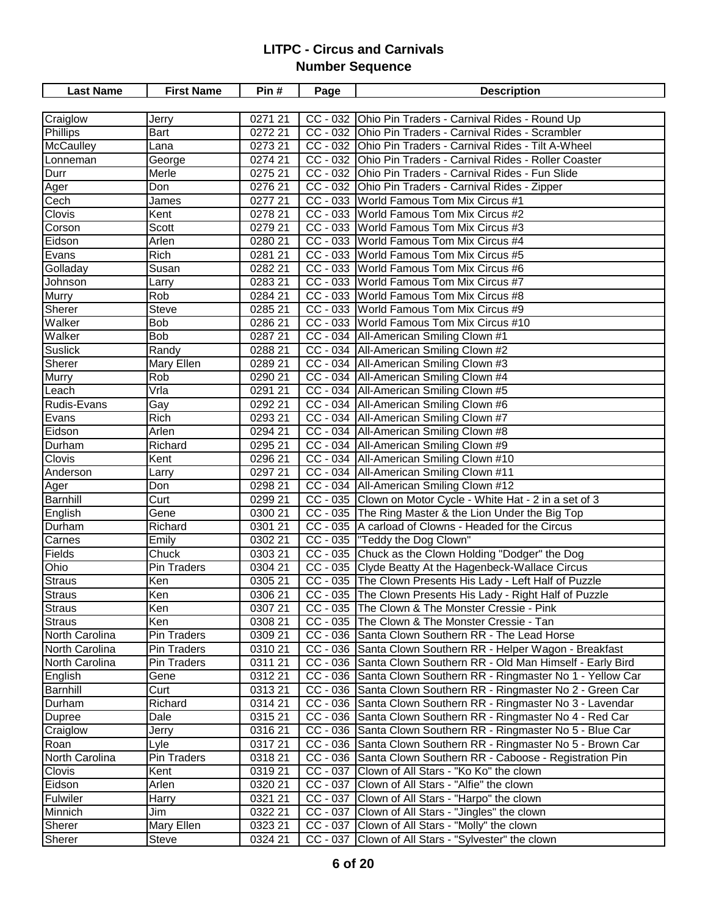| <b>Last Name</b> | <b>First Name</b>  | Pin#                | Page       | <b>Description</b>                                              |
|------------------|--------------------|---------------------|------------|-----------------------------------------------------------------|
|                  |                    |                     |            |                                                                 |
| Craiglow         | Jerry              | 0271 21             | $CC - 032$ | Ohio Pin Traders - Carnival Rides - Round Up                    |
| Phillips         | Bart               | 0272 21             |            | CC - 032 Ohio Pin Traders - Carnival Rides - Scrambler          |
| McCaulley        | Lana               | 0273 21             |            | CC - 032 Ohio Pin Traders - Carnival Rides - Tilt A-Wheel       |
| Lonneman         | George             | $\overline{027}421$ |            | CC - 032 Ohio Pin Traders - Carnival Rides - Roller Coaster     |
| Durr             | Merle              | 027521              |            | CC - 032 Ohio Pin Traders - Carnival Rides - Fun Slide          |
| Ager             | Don                | 0276 21             |            | CC - 032 Ohio Pin Traders - Carnival Rides - Zipper             |
| Cech             | James              | 0277 21             |            | CC - 033 World Famous Tom Mix Circus #1                         |
| Clovis           | Kent               | 0278 21             |            | CC - 033 World Famous Tom Mix Circus #2                         |
| Corson           | Scott              | 0279 21             |            | CC - 033 World Famous Tom Mix Circus #3                         |
| Eidson           | Arlen              | 0280 21             |            | CC - 033 World Famous Tom Mix Circus #4                         |
| Evans            | Rich               | 0281 21             |            | CC - 033 World Famous Tom Mix Circus #5                         |
| Golladay         | Susan              | 0282 21             |            | CC - 033 World Famous Tom Mix Circus #6                         |
| Johnson          | Larry              | 0283 21             |            | CC - 033 World Famous Tom Mix Circus #7                         |
| <b>Murry</b>     | Rob                | 0284 21             |            | CC - 033 World Famous Tom Mix Circus #8                         |
| Sherer           | Steve              | 0285 21             |            | CC - 033 World Famous Tom Mix Circus #9                         |
| Walker           | <b>Bob</b>         | 0286 21             |            | CC - 033 World Famous Tom Mix Circus #10                        |
| Walker           | Bob                | 0287 21             |            | CC - 034 All-American Smiling Clown #1                          |
| <b>Suslick</b>   | Randy              | 0288 21             |            | CC - 034 All-American Smiling Clown #2                          |
| Sherer           | Mary Ellen         | 0289 21             |            | CC - 034 All-American Smiling Clown #3                          |
| <b>Murry</b>     | Rob                | 0290 21             |            | CC - 034 All-American Smiling Clown #4                          |
| Leach            | Vrla               | 0291 21             |            | CC - 034 All-American Smiling Clown #5                          |
| Rudis-Evans      | Gay                | 0292 21             |            | CC - 034 All-American Smiling Clown #6                          |
| Evans            | Rich               | 0293 21             |            | CC - 034 All-American Smiling Clown #7                          |
| Eidson           | Arlen              | 0294 21             |            | CC - 034 All-American Smiling Clown #8                          |
| Durham           | Richard            | 0295 21             |            | CC - 034   All-American Smiling Clown #9                        |
| Clovis           | Kent               | 0296 21             |            | CC - 034   All-American Smiling Clown #10                       |
| Anderson         | Larry              | 0297 21             |            | CC - 034 All-American Smiling Clown #11                         |
| Ager             | Don                | 0298 21             |            | CC - 034 All-American Smiling Clown #12                         |
| <b>Barnhill</b>  | Curt               | 0299 21             |            | CC - 035 Clown on Motor Cycle - White Hat - 2 in a set of 3     |
| English          | Gene               | 0300 21             |            | CC - 035 The Ring Master & the Lion Under the Big Top           |
| Durham           | Richard            | 0301 21             |            | CC - 035   A carload of Clowns - Headed for the Circus          |
| Carnes           | Emily              | 0302 21             |            | CC - 035 Teddy the Dog Clown"                                   |
| Fields           | Chuck              | 0303 21             |            | CC - 035 Chuck as the Clown Holding "Dodger" the Dog            |
| Ohio             | <b>Pin Traders</b> | 0304 21             |            | CC - 035 Clyde Beatty At the Hagenbeck-Wallace Circus           |
| <b>Straus</b>    | Ken                | 0305 21             |            | CC - 035 The Clown Presents His Lady - Left Half of Puzzle      |
| <b>Straus</b>    | Ken                | 0306 21             |            | CC - 035 The Clown Presents His Lady - Right Half of Puzzle     |
| Straus           | Ken                | 0307 21             |            | CC - 035 The Clown & The Monster Cressie - Pink                 |
| <b>Straus</b>    | Ken                | 0308 21             |            | CC - 035 The Clown & The Monster Cressie - Tan                  |
| North Carolina   | Pin Traders        | 0309 21             |            | CC - 036 Santa Clown Southern RR - The Lead Horse               |
| North Carolina   | Pin Traders        | 0310 21             |            | CC - 036 Santa Clown Southern RR - Helper Wagon - Breakfast     |
| North Carolina   | Pin Traders        | 031121              |            | CC - 036 Santa Clown Southern RR - Old Man Himself - Early Bird |
| English          | Gene               | 0312 21             |            | CC - 036 Santa Clown Southern RR - Ringmaster No 1 - Yellow Car |
| <b>Barnhill</b>  | Curt               | 031321              |            | CC - 036 Santa Clown Southern RR - Ringmaster No 2 - Green Car  |
| Durham           | Richard            | 0314 21             |            | CC - 036 Santa Clown Southern RR - Ringmaster No 3 - Lavendar   |
| Dupree           | Dale               | 0315 21             |            | CC - 036 Santa Clown Southern RR - Ringmaster No 4 - Red Car    |
| Craiglow         | Jerry              | 031621              |            | CC - 036 Santa Clown Southern RR - Ringmaster No 5 - Blue Car   |
| Roan             | Lyle               | 031721              |            | CC - 036 Santa Clown Southern RR - Ringmaster No 5 - Brown Car  |
| North Carolina   | Pin Traders        | 031821              |            | CC - 036 Santa Clown Southern RR - Caboose - Registration Pin   |
| Clovis           | Kent               | 031921              | $CC - 037$ | Clown of All Stars - "Ko Ko" the clown                          |
| Eidson           | Arlen              | 0320 21             | $CC - 037$ | Clown of All Stars - "Alfie" the clown                          |
| Fulwiler         | Harry              | 0321 21             | $CC - 037$ | Clown of All Stars - "Harpo" the clown                          |
| Minnich          | Jim                | 0322 21             | $CC - 037$ | Clown of All Stars - "Jingles" the clown                        |
| Sherer           | <b>Mary Ellen</b>  | 0323 21             |            | CC - 037 Clown of All Stars - "Molly" the clown                 |
| Sherer           | <b>Steve</b>       | 0324 21             |            | CC - 037 Clown of All Stars - "Sylvester" the clown             |
|                  |                    |                     |            |                                                                 |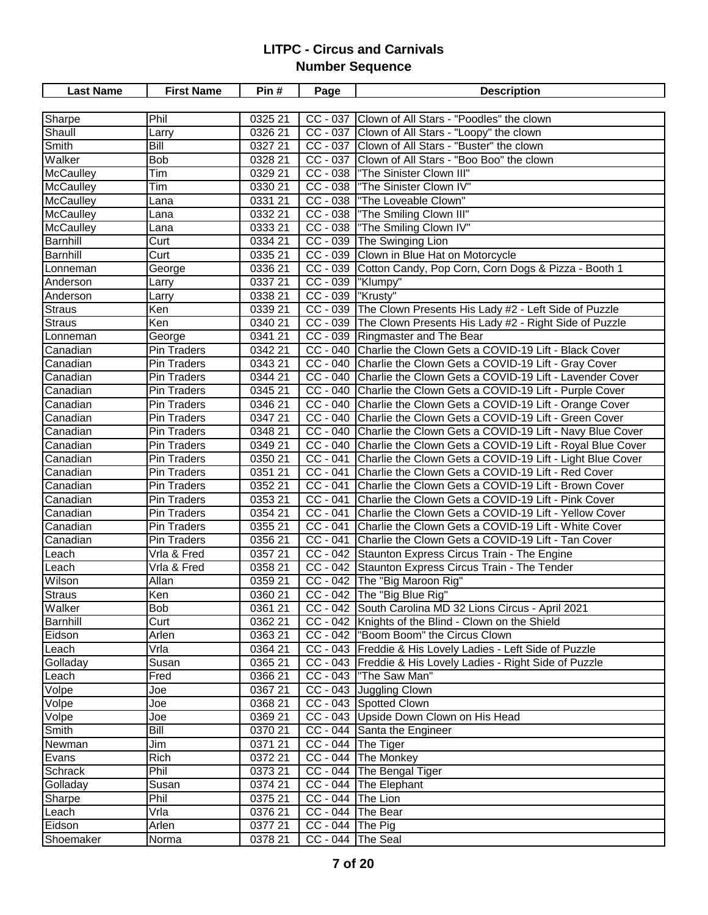| <b>Last Name</b>     | <b>First Name</b>                 | Pin#               | Page                 | <b>Description</b>                                                                                                     |
|----------------------|-----------------------------------|--------------------|----------------------|------------------------------------------------------------------------------------------------------------------------|
|                      |                                   |                    |                      |                                                                                                                        |
| Sharpe               | Phil                              | 0325 21            | CC - 037             | Clown of All Stars - "Poodles" the clown                                                                               |
| Shaull               | Larry                             | 0326 21            |                      | CC - 037 Clown of All Stars - "Loopy" the clown                                                                        |
| Smith                | <b>Bill</b>                       | 0327 21            | $CC - 037$           | Clown of All Stars - "Buster" the clown                                                                                |
| Walker               | <b>Bob</b>                        | 0328 21            | CC - 037             | Clown of All Stars - "Boo Boo" the clown                                                                               |
| McCaulley            | Tim                               | 0329 21            | $CC - 038$           | "The Sinister Clown III"                                                                                               |
| McCaulley            | Tim                               | 0330 21            | $CC - 038$           | "The Sinister Clown IV"                                                                                                |
| McCaulley            | Lana                              | 0331 21            |                      | CC - 038   "The Loveable Clown"                                                                                        |
| McCaulley            | Lana                              | 0332 21            |                      | CC - 038 The Smiling Clown III"                                                                                        |
| McCaulley            | Lana                              | 0333 21            |                      | CC - 038   "The Smiling Clown IV"                                                                                      |
| Barnhill             | Curt                              | 0334 21            | CC - 039             | The Swinging Lion                                                                                                      |
| <b>Barnhill</b>      | Curt                              | 0335 21            | $CC - 039$           | Clown in Blue Hat on Motorcycle                                                                                        |
| Lonneman             | George                            | 0336 21            | CC - 039             | Cotton Candy, Pop Corn, Corn Dogs & Pizza - Booth 1                                                                    |
| Anderson             | Larry                             | 0337 21            | CC - 039             | "Klumpy"                                                                                                               |
| Anderson             | Larry                             | 0338 21            | $CC - 039$           | "Krusty"                                                                                                               |
| <b>Straus</b>        | Ken                               | 0339 21            | CC - 039             | The Clown Presents His Lady #2 - Left Side of Puzzle                                                                   |
| Straus               | Ken                               | 0340 21            | $CC - 039$           | The Clown Presents His Lady #2 - Right Side of Puzzle                                                                  |
| Lonneman             |                                   | 0341 21            | CC - 039             | <b>Ringmaster and The Bear</b>                                                                                         |
|                      | George                            |                    | CC - 040             | Charlie the Clown Gets a COVID-19 Lift - Black Cover                                                                   |
| Canadian             | Pin Traders                       | 0342 21<br>0343 21 | $CC - 040$           | Charlie the Clown Gets a COVID-19 Lift - Gray Cover                                                                    |
| Canadian<br>Canadian | Pin Traders<br>Pin Traders        | 0344 21            | $CC - 040$           |                                                                                                                        |
|                      |                                   |                    | $CC - 040$           | Charlie the Clown Gets a COVID-19 Lift - Lavender Cover                                                                |
| Canadian             | Pin Traders                       | 0345 21<br>0346 21 | $CC - 040$           | Charlie the Clown Gets a COVID-19 Lift - Purple Cover                                                                  |
| Canadian             | Pin Traders                       |                    |                      | Charlie the Clown Gets a COVID-19 Lift - Orange Cover                                                                  |
| Canadian             | Pin Traders                       | 0347 21<br>0348 21 | CC - 040<br>CC - 040 | Charlie the Clown Gets a COVID-19 Lift - Green Cover                                                                   |
| Canadian<br>Canadian | Pin Traders                       | 0349 21            | $CC - 040$           | Charlie the Clown Gets a COVID-19 Lift - Navy Blue Cover                                                               |
| Canadian             | Pin Traders                       | 0350 21            | $CC - 041$           | Charlie the Clown Gets a COVID-19 Lift - Royal Blue Cover<br>Charlie the Clown Gets a COVID-19 Lift - Light Blue Cover |
| Canadian             | Pin Traders<br><b>Pin Traders</b> | 035121             | $CC - 041$           | Charlie the Clown Gets a COVID-19 Lift - Red Cover                                                                     |
| Canadian             | Pin Traders                       | 0352 21            | $CC - 041$           | Charlie the Clown Gets a COVID-19 Lift - Brown Cover                                                                   |
| Canadian             | Pin Traders                       | 0353 21            | CC - 041             | Charlie the Clown Gets a COVID-19 Lift - Pink Cover                                                                    |
| Canadian             | Pin Traders                       | 0354 21            | $CC - 041$           | Charlie the Clown Gets a COVID-19 Lift - Yellow Cover                                                                  |
| Canadian             | Pin Traders                       | 0355 21            | CC - 041             | Charlie the Clown Gets a COVID-19 Lift - White Cover                                                                   |
| Canadian             | Pin Traders                       | 0356 21            | CC - 041             | Charlie the Clown Gets a COVID-19 Lift - Tan Cover                                                                     |
| Leach                | Vrla & Fred                       | 0357 21            |                      | CC - 042 Staunton Express Circus Train - The Engine                                                                    |
| Leach                | Vrla & Fred                       | 0358 21            |                      | CC - 042 Staunton Express Circus Train - The Tender                                                                    |
| Wilson               | Allan                             | 0359 21            | $CC - 042$           | The "Big Maroon Rig"                                                                                                   |
| <b>Straus</b>        | Ken                               | 0360 21            |                      | CC - 042   The "Big Blue Rig"                                                                                          |
| Walker               | <b>Bob</b>                        | 0361 21            |                      | CC - 042 South Carolina MD 32 Lions Circus - April 2021                                                                |
| Barnhill             | Curt                              | 0362 21            |                      | CC - 042 Knights of the Blind - Clown on the Shield                                                                    |
| Eidson               | Arlen                             | 0363 21            |                      | CC - 042  "Boom Boom" the Circus Clown                                                                                 |
| Leach                | Vrla                              | 0364 21            |                      | CC - 043 Freddie & His Lovely Ladies - Left Side of Puzzle                                                             |
| Golladay             | Susan                             | 0365 21            |                      | CC - 043 Freddie & His Lovely Ladies - Right Side of Puzzle                                                            |
| Leach                | Fred                              | 0366 21            |                      | CC - 043   "The Saw Man"                                                                                               |
| Volpe                | Joe                               | 0367 21            |                      | CC - 043 Juggling Clown                                                                                                |
| Volpe                | Joe                               | 0368 21            |                      | CC - 043 Spotted Clown                                                                                                 |
| Volpe                | Joe                               | 0369 21            |                      | CC - 043 Upside Down Clown on His Head                                                                                 |
| Smith                | $\overline{Bill}$                 | 0370 21            |                      | CC - 044 Santa the Engineer                                                                                            |
| Newman               | Jim                               | 0371 21            |                      | CC - 044 The Tiger                                                                                                     |
| Evans                | Rich                              | 0372 21            |                      | CC - 044 The Monkey                                                                                                    |
| Schrack              | Phil                              | 0373 21            |                      | CC - 044 The Bengal Tiger                                                                                              |
| Golladay             | Susan                             | 0374 21            |                      | CC - 044 The Elephant                                                                                                  |
| Sharpe               | Phil                              | 0375 21            | $CC - 044$ The Lion  |                                                                                                                        |
| Leach                | Vrla                              | 0376 21            |                      | CC - 044 The Bear                                                                                                      |
| Eidson               | Arlen                             | 0377 21            | $CC - 044$ The Pig   |                                                                                                                        |
| Shoemaker            | Norma                             | 0378 21            | CC - 044 The Seal    |                                                                                                                        |
|                      |                                   |                    |                      |                                                                                                                        |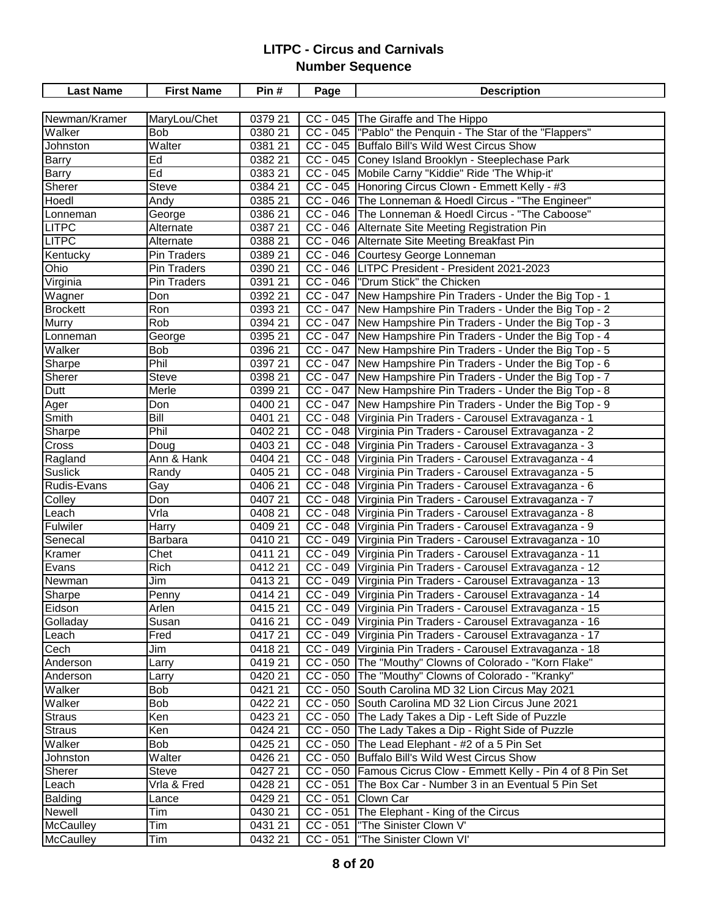| <b>Last Name</b>   | <b>First Name</b> | Pin#    | Page                  | <b>Description</b>                                              |
|--------------------|-------------------|---------|-----------------------|-----------------------------------------------------------------|
|                    |                   |         |                       |                                                                 |
| Newman/Kramer      | MaryLou/Chet      | 0379 21 |                       | CC - 045 The Giraffe and The Hippo                              |
| Walker             | <b>Bob</b>        | 0380 21 |                       | CC - 045  "Pablo" the Penquin - The Star of the "Flappers"      |
| Johnston           | Walter            | 0381 21 |                       | CC - 045 Buffalo Bill's Wild West Circus Show                   |
| <b>Barry</b>       | Ed                | 0382 21 |                       | CC - 045 Coney Island Brooklyn - Steeplechase Park              |
| <b>Barry</b>       | Ed                | 0383 21 |                       | CC - 045 Mobile Carny "Kiddie" Ride 'The Whip-it'               |
| Sherer             | <b>Steve</b>      | 0384 21 |                       | CC - 045 Honoring Circus Clown - Emmett Kelly - #3              |
| Hoedl              | Andy              | 0385 21 |                       | CC - 046 The Lonneman & Hoedl Circus - "The Engineer"           |
| Lonneman           | George            | 0386 21 |                       | CC - 046 The Lonneman & Hoedl Circus - "The Caboose"            |
| <b>LITPC</b>       | Alternate         | 0387 21 |                       | CC - 046 Alternate Site Meeting Registration Pin                |
| <b>LITPC</b>       | Alternate         | 0388 21 |                       | CC - 046 Alternate Site Meeting Breakfast Pin                   |
| Kentucky           | Pin Traders       | 0389 21 |                       | CC - 046 Courtesy George Lonneman                               |
| Ohio               | Pin Traders       | 0390 21 |                       | CC - 046 LITPC President - President 2021-2023                  |
| Virginia           | Pin Traders       | 0391 21 |                       | CC - 046  "Drum Stick" the Chicken                              |
| Wagner             | Don.              | 0392 21 |                       | CC - 047 New Hampshire Pin Traders - Under the Big Top - 1      |
| <b>Brockett</b>    | Ron               | 0393 21 | CC - 047              | New Hampshire Pin Traders - Under the Big Top - 2               |
| <b>Murry</b>       | Rob               | 0394 21 |                       | CC - 047 New Hampshire Pin Traders - Under the Big Top - 3      |
| Lonneman           | George            | 0395 21 |                       | CC - 047 New Hampshire Pin Traders - Under the Big Top - 4      |
| Walker             | Bob               | 0396 21 | CC - 047              | New Hampshire Pin Traders - Under the Big Top - 5               |
| Sharpe             | Phil              | 0397 21 | $CC - 047$            | New Hampshire Pin Traders - Under the Big Top - 6               |
| Sherer             | <b>Steve</b>      | 0398 21 |                       | CC - 047 New Hampshire Pin Traders - Under the Big Top - 7      |
| Dutt               | Merle             | 0399 21 | CC - 047              | New Hampshire Pin Traders - Under the Big Top - 8               |
| Ager               | Don               | 0400 21 | CC - 047              | New Hampshire Pin Traders - Under the Big Top - 9               |
| Smith              | $\overline{Bill}$ | 0401 21 | CC - 048              | Virginia Pin Traders - Carousel Extravaganza - 1                |
| Sharpe             | Phil              | 0402 21 |                       | CC - 048 Virginia Pin Traders - Carousel Extravaganza - 2       |
| Cross              | Doug              | 0403 21 | CC - 048              | Virginia Pin Traders - Carousel Extravaganza - 3                |
| Ragland            | Ann & Hank        | 0404 21 | CC - 048              | Virginia Pin Traders - Carousel Extravaganza - 4                |
| Suslick            | Randy             | 0405 21 | $CC - 048$            | Virginia Pin Traders - Carousel Extravaganza - 5                |
| <b>Rudis-Evans</b> | Gay               | 0406 21 | $CC - 048$            | Virginia Pin Traders - Carousel Extravaganza - 6                |
| Colley             | Don               | 0407 21 | CC - 048              | Virginia Pin Traders - Carousel Extravaganza - 7                |
| Leach              | Vrla              | 0408 21 | $CC - 048$            | Virginia Pin Traders - Carousel Extravaganza - 8                |
| Fulwiler           | Harry             | 0409 21 | CC - 048              | Virginia Pin Traders - Carousel Extravaganza - 9                |
| Senecal            | Barbara           | 0410 21 | $\overline{CC}$ - 049 | Virginia Pin Traders - Carousel Extravaganza - 10               |
| Kramer             | Chet              | 0411 21 | $CC - 049$            | Virginia Pin Traders - Carousel Extravaganza - 11               |
| Evans              | Rich              | 0412 21 | CC - 049              | Virginia Pin Traders - Carousel Extravaganza - 12               |
| Newman             | Jim               | 041321  | CC - 049              | Virginia Pin Traders - Carousel Extravaganza - 13               |
| Sharpe             | Penny             | 0414 21 |                       | CC - 049 Virginia Pin Traders - Carousel Extravaganza - 14      |
| Eidson             | Arlen             | 041521  |                       | CC - 049 Virginia Pin Traders - Carousel Extravaganza - 15      |
| Golladay           | Susan             | 041621  |                       | CC - 049 Virginia Pin Traders - Carousel Extravaganza - 16      |
| Leach              | Fred              | 041721  |                       | CC - 049 Virginia Pin Traders - Carousel Extravaganza - 17      |
| Cech               | Jim               | 041821  |                       | CC - 049 Virginia Pin Traders - Carousel Extravaganza - 18      |
| Anderson           | Larry             | 041921  |                       | CC - 050 The "Mouthy" Clowns of Colorado - "Korn Flake"         |
| Anderson           | Larry             | 0420 21 |                       | CC - 050 The "Mouthy" Clowns of Colorado - "Kranky"             |
| Walker             | <b>Bob</b>        | 0421 21 | $CC - 050$            | South Carolina MD 32 Lion Circus May 2021                       |
| Walker             | <b>Bob</b>        | 0422 21 |                       | CC - 050 South Carolina MD 32 Lion Circus June 2021             |
| <b>Straus</b>      | Ken               | 0423 21 |                       | CC - 050 The Lady Takes a Dip - Left Side of Puzzle             |
| <b>Straus</b>      | Ken               | 0424 21 |                       | CC - 050 The Lady Takes a Dip - Right Side of Puzzle            |
| Walker             | <b>Bob</b>        | 0425 21 |                       | CC - 050 The Lead Elephant - #2 of a 5 Pin Set                  |
| Johnston           | Walter            | 0426 21 |                       | CC - 050 Buffalo Bill's Wild West Circus Show                   |
| Sherer             | <b>Steve</b>      | 0427 21 |                       | CC - 050 Famous Cicrus Clow - Emmett Kelly - Pin 4 of 8 Pin Set |
| Leach              | Vrla & Fred       | 0428 21 | $CC - 051$            | The Box Car - Number 3 in an Eventual 5 Pin Set                 |
| Balding            | Lance             | 0429 21 | $CC - 051$            | Clown Car                                                       |
| Newell             | Tim               | 0430 21 | $CC - 051$            | The Elephant - King of the Circus                               |
| McCaulley          | Tim               | 0431 21 | $CC - 051$            | "The Sinister Clown V'                                          |
| <b>McCaulley</b>   | Tim               | 0432 21 | $CC - 051$            | "The Sinister Clown VI'                                         |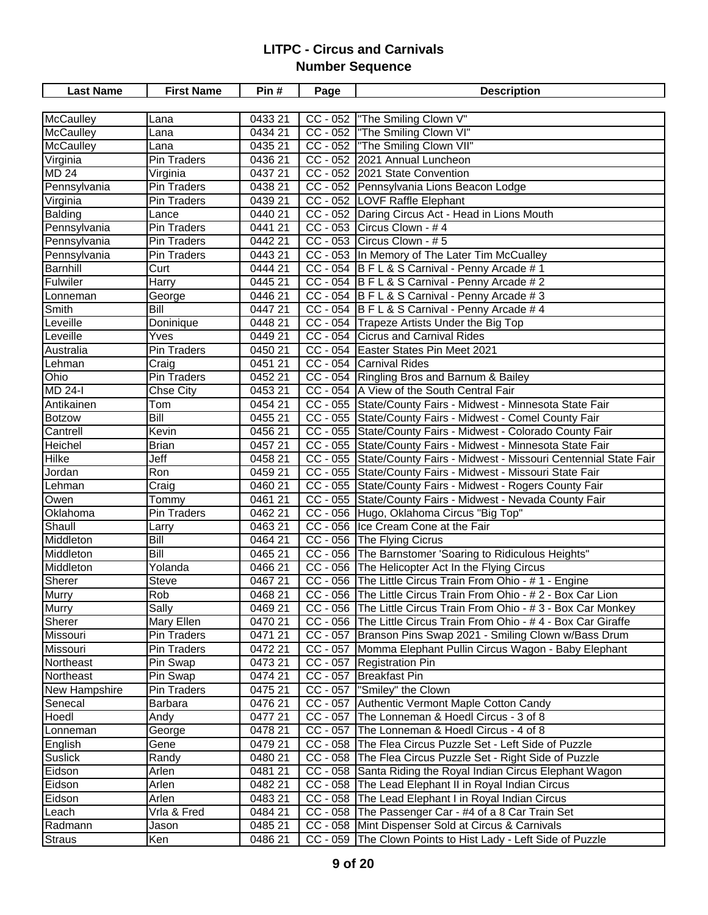| <b>Last Name</b> | <b>First Name</b>  | Pin#                  | Page       | <b>Description</b>                                                     |
|------------------|--------------------|-----------------------|------------|------------------------------------------------------------------------|
|                  |                    |                       |            |                                                                        |
| McCaulley        | Lana               | 0433 21               |            | CC - 052 The Smiling Clown V"                                          |
| McCaulley        | Lana               | 0434 21               | $CC - 052$ | "The Smiling Clown VI"                                                 |
| <b>McCaulley</b> | Lana               | 0435 21               |            | CC - 052 The Smiling Clown VII"                                        |
| Virginia         | <b>Pin Traders</b> | 0436 21               |            | CC - 052 2021 Annual Luncheon                                          |
| <b>MD 24</b>     | Virginia           | 0437 21               |            | CC - 052 2021 State Convention                                         |
| Pennsylvania     | <b>Pin Traders</b> | 043821                |            | CC - 052 Pennsylvania Lions Beacon Lodge                               |
| Virginia         | <b>Pin Traders</b> | 0439 21               |            | CC - 052 LOVF Raffle Elephant                                          |
| Balding          | Lance              | 0440 21               |            | CC - 052 Daring Circus Act - Head in Lions Mouth                       |
| Pennsylvania     | <b>Pin Traders</b> | $\overline{044}$ 1 21 |            | $CC - 053$ Circus Clown - #4                                           |
| Pennsylvania     | <b>Pin Traders</b> | 0442 21               |            | CC - 053 Circus Clown - # 5                                            |
| Pennsylvania     | Pin Traders        | 0443 21               |            | CC - 053 In Memory of The Later Tim McCualley                          |
| Barnhill         | Curt               | 0444 21               |            | CC - 054 B F L & S Carnival - Penny Arcade # 1                         |
| Fulwiler         | Harry              | 0445 21               |            | CC - 054 B F L & S Carnival - Penny Arcade # 2                         |
| Lonneman         | George             | 0446 21               |            | CC - 054 B F L & S Carnival - Penny Arcade # 3                         |
| Smith            | Bill               | 044721                |            | CC - 054 B F L & S Carnival - Penny Arcade # 4                         |
| Leveille         | Doninique          | 0448 21               |            | CC - 054 Trapeze Artists Under the Big Top                             |
| Leveille         | Yves               | $\frac{1}{0449}$ 21   |            | CC - 054 Cicrus and Carnival Rides                                     |
| Australia        | <b>Pin Traders</b> | 0450 21               |            | CC - 054 Easter States Pin Meet 2021                                   |
| Lehman           | Craig              | $\overline{045}121$   |            | CC - 054 Carnival Rides                                                |
| Ohio             | Pin Traders        | 0452 21               |            | CC - 054 Ringling Bros and Barnum & Bailey                             |
| <b>MD 24-1</b>   | Chse City          | 0453 21               |            | CC - 054 A View of the South Central Fair                              |
| Antikainen       | Tom                | 0454 21               |            | CC - 055 State/County Fairs - Midwest - Minnesota State Fair           |
| <b>Botzow</b>    | Bill               | 0455 21               |            | CC - 055 State/County Fairs - Midwest - Comel County Fair              |
| Cantrell         | Kevin              | 0456 21               |            | CC - 055 State/County Fairs - Midwest - Colorado County Fair           |
| Heichel          | <b>Brian</b>       | 0457 21               |            | CC - 055 State/County Fairs - Midwest - Minnesota State Fair           |
| Hilke            | Jeff               | 0458 21               |            | CC - 055 State/County Fairs - Midwest - Missouri Centennial State Fair |
| Jordan           | Ron                | 0459 21               |            | CC - 055 State/County Fairs - Midwest - Missouri State Fair            |
| Lehman           | Craig              | 0460 21               |            | CC - 055 State/County Fairs - Midwest - Rogers County Fair             |
| Owen             | Tommy              | 0461 21               |            | CC - 055 State/County Fairs - Midwest - Nevada County Fair             |
| Oklahoma         | <b>Pin Traders</b> | 0462 21               |            | CC - 056 Hugo, Oklahoma Circus "Big Top"                               |
| Shaull           | Larry              | 0463 21               | $CC - 056$ | Ice Cream Cone at the Fair                                             |
| Middleton        | Bill               | 0464 21               |            | CC - 056 The Flying Cicrus                                             |
| Middleton        | Bill               | 0465 21               |            | CC - 056 The Barnstomer 'Soaring to Ridiculous Heights"                |
| Middleton        | Yolanda            | 0466 21               |            | CC - 056 The Helicopter Act In the Flying Circus                       |
| Sherer           | Steve              | 0467 21               |            | CC - 056 The Little Circus Train From Ohio - #1 - Engine               |
| <b>Murry</b>     | Rob                | 0468 21               |            | CC - 056 The Little Circus Train From Ohio - # 2 - Box Car Lion        |
| Murry            | Sally              | 046921                |            | CC - 056 The Little Circus Train From Ohio - #3 - Box Car Monkey       |
| Sherer           | Mary Ellen         | 0470 21               |            | CC - 056 The Little Circus Train From Ohio - #4 - Box Car Giraffe      |
| Missouri         | Pin Traders        | 047121                | $CC - 057$ | Branson Pins Swap 2021 - Smiling Clown w/Bass Drum                     |
| Missouri         | Pin Traders        | 0472 21               | $CC - 057$ | Momma Elephant Pullin Circus Wagon - Baby Elephant                     |
| Northeast        | Pin Swap           | 0473 21               | $CC - 057$ | <b>Registration Pin</b>                                                |
| Northeast        | Pin Swap           | 0474 21               | $CC - 057$ | <b>Breakfast Pin</b>                                                   |
| New Hampshire    | Pin Traders        | 0475 21               |            | CC - 057  "Smiley" the Clown                                           |
| Senecal          | Barbara            | 0476 21               |            | CC - 057 Authentic Vermont Maple Cotton Candy                          |
| Hoedl            | Andy               | 047721                | $CC - 057$ | The Lonneman & Hoedl Circus - 3 of 8                                   |
| Lonneman         | George             | 0478 21               | $CC - 057$ | The Lonneman & Hoedl Circus - 4 of 8                                   |
| English          | Gene               | 0479 21               |            | CC - 058 The Flea Circus Puzzle Set - Left Side of Puzzle              |
| <b>Suslick</b>   | Randy              | 0480 21               |            | CC - 058 The Flea Circus Puzzle Set - Right Side of Puzzle             |
| Eidson           | Arlen              | 048121                | $CC - 058$ | Santa Riding the Royal Indian Circus Elephant Wagon                    |
| Eidson           | Arlen              | 0482 21               |            | CC - 058 The Lead Elephant II in Royal Indian Circus                   |
| Eidson           | Arlen              | 048321                |            | CC - 058 The Lead Elephant I in Royal Indian Circus                    |
| Leach            | Vrla & Fred        | 0484 21               |            | CC - 058 The Passenger Car - #4 of a 8 Car Train Set                   |
| Radmann          | Jason              | 0485 21               |            | CC - 058 Mint Dispenser Sold at Circus & Carnivals                     |
| <b>Straus</b>    | Ken                | 0486 21               |            | CC - 059 The Clown Points to Hist Lady - Left Side of Puzzle           |
|                  |                    |                       |            |                                                                        |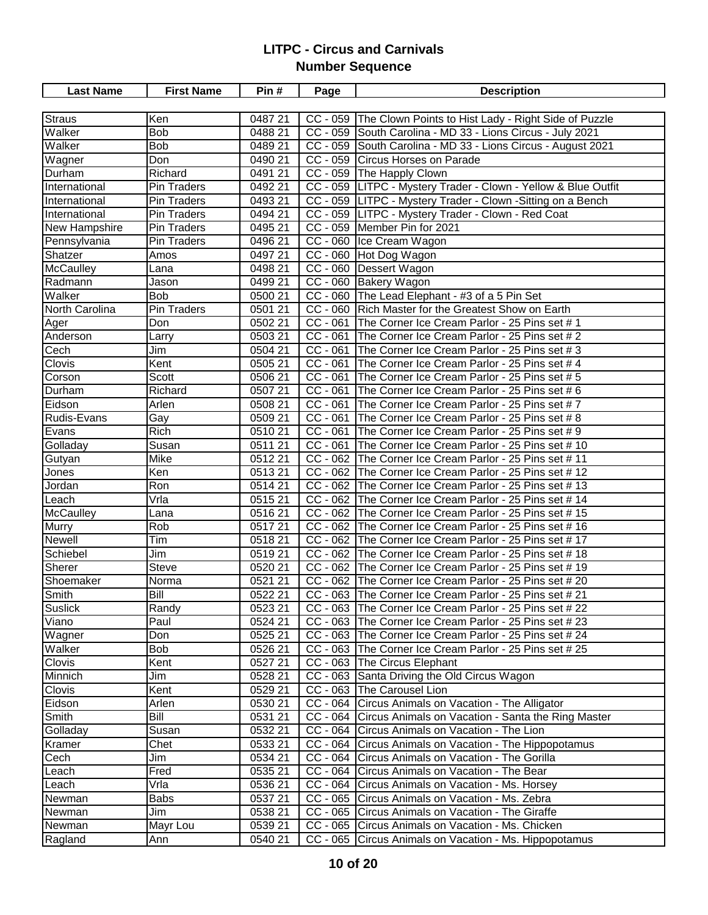| <b>Last Name</b> | <b>First Name</b>  | Pin#                 | Page       | <b>Description</b>                                             |
|------------------|--------------------|----------------------|------------|----------------------------------------------------------------|
|                  |                    |                      |            |                                                                |
| Straus           | Ken                | 0487 21              |            | CC - 059 The Clown Points to Hist Lady - Right Side of Puzzle  |
| Walker           | <b>Bob</b>         | 0488 21              |            | CC - 059 South Carolina - MD 33 - Lions Circus - July 2021     |
| Walker           | <b>Bob</b>         | 0489 21              |            | CC - 059 South Carolina - MD 33 - Lions Circus - August 2021   |
| Wagner           | Don                | 0490 21              |            | CC - 059 Circus Horses on Parade                               |
| Durham           | Richard            | 0491 21              |            | CC - 059 The Happly Clown                                      |
| International    | <b>Pin Traders</b> | 0492 21              |            | CC - 059 LITPC - Mystery Trader - Clown - Yellow & Blue Outfit |
| International    | <b>Pin Traders</b> | 0493 21              |            | CC - 059 LITPC - Mystery Trader - Clown - Sitting on a Bench   |
| International    | <b>Pin Traders</b> | 0494 21              |            | CC - 059 LITPC - Mystery Trader - Clown - Red Coat             |
| New Hampshire    | Pin Traders        | 0495 21              |            | CC - 059 Member Pin for 2021                                   |
| Pennsylvania     | Pin Traders        | 0496 21              |            | CC - 060 Ice Cream Wagon                                       |
| Shatzer          | Amos               | $\overline{0497}$ 21 |            | CC - 060 Hot Dog Wagon                                         |
| McCaulley        | Lana               | 0498 21              |            | CC - 060 Dessert Wagon                                         |
| Radmann          | Jason              | 0499 21              |            | CC - 060 Bakery Wagon                                          |
| Walker           | <b>Bob</b>         | 0500 21              |            | CC - 060 The Lead Elephant - #3 of a 5 Pin Set                 |
| North Carolina   | <b>Pin Traders</b> | 0501 21              |            | CC - 060 Rich Master for the Greatest Show on Earth            |
| Ager             | Don                | 0502 21              | $CC - 061$ | The Corner Ice Cream Parlor - 25 Pins set # 1                  |
| Anderson         | Larry              | 0503 21              | $CC - 061$ | The Corner Ice Cream Parlor - 25 Pins set # 2                  |
| Cech             | Jim                | 0504 21              | $CC - 061$ | The Corner Ice Cream Parlor - 25 Pins set # 3                  |
| Clovis           | Kent               | 0505 21              | $CC - 061$ | The Corner Ice Cream Parlor - 25 Pins set # 4                  |
| Corson           | Scott              | 0506 21              | $CC - 061$ | The Corner Ice Cream Parlor - 25 Pins set # 5                  |
| Durham           | Richard            | 0507 21              | $CC - 061$ | The Corner Ice Cream Parlor - 25 Pins set # 6                  |
| Eidson           | Arlen              | 0508 21              | $CC - 061$ | The Corner Ice Cream Parlor - 25 Pins set # 7                  |
| Rudis-Evans      | Gay                | 0509 21              | $CC - 061$ | The Corner Ice Cream Parlor - 25 Pins set # 8                  |
| Evans            | Rich               | 051021               | $CC - 061$ | The Corner Ice Cream Parlor - 25 Pins set # 9                  |
| Golladay         | Susan              | 051121               | $CC - 061$ | The Corner Ice Cream Parlor - 25 Pins set # 10                 |
| Gutyan           | Mike               | 051221               | $CC - 062$ | The Corner Ice Cream Parlor - 25 Pins set #11                  |
| Jones            | Ken                | 051321               | $CC - 062$ | The Corner Ice Cream Parlor - 25 Pins set #12                  |
| Jordan           | Ron                | 0514 21              |            | CC - 062 The Corner Ice Cream Parlor - 25 Pins set #13         |
| Leach            | Vrla               | 0515 21              | $CC - 062$ | The Corner Ice Cream Parlor - 25 Pins set #14                  |
| <b>McCaulley</b> | Lana               | 051621               | $CC - 062$ | The Corner Ice Cream Parlor - 25 Pins set #15                  |
| Murry            | Rob                | 051721               | $CC - 062$ | The Corner Ice Cream Parlor - 25 Pins set # 16                 |
| Newell           | Tim                | 051821               | $CC - 062$ | The Corner Ice Cream Parlor - 25 Pins set # 17                 |
| Schiebel         | Jim                | 051921               |            | CC - 062 The Corner Ice Cream Parlor - 25 Pins set # 18        |
| Sherer           | <b>Steve</b>       | 0520 21              |            | CC - 062 The Corner Ice Cream Parlor - 25 Pins set # 19        |
| Shoemaker        | Norma              | 0521 21              |            | CC - 062 The Corner Ice Cream Parlor - 25 Pins set # 20        |
| Smith            | Bill               | 0522 21              |            | CC - 063 The Corner Ice Cream Parlor - 25 Pins set # 21        |
| <b>Suslick</b>   | Randy              | 0523 21              |            | CC - 063 The Corner Ice Cream Parlor - 25 Pins set # 22        |
| Viano            | Paul               | 0524 21              |            | CC - 063 The Corner Ice Cream Parlor - 25 Pins set # 23        |
| Wagner           | Don                | 0525 21              |            | CC - 063 The Corner Ice Cream Parlor - 25 Pins set # 24        |
| Walker           | <b>Bob</b>         | 0526 21              |            | CC - 063 The Corner Ice Cream Parlor - 25 Pins set # 25        |
| Clovis           | Kent               | 0527 21              |            | CC - 063 The Circus Elephant                                   |
| Minnich          | Jim                | 0528 21              |            | CC - 063 Santa Driving the Old Circus Wagon                    |
| Clovis           | Kent               | 0529 21              |            | CC - 063 The Carousel Lion                                     |
| Eidson           | Arlen              | 0530 21              |            | CC - 064 Circus Animals on Vacation - The Alligator            |
| Smith            | Bill               | 0531 21              |            | CC - 064 Circus Animals on Vacation - Santa the Ring Master    |
| Golladay         | Susan              | 0532 21              |            | CC - 064 Circus Animals on Vacation - The Lion                 |
| Kramer           | Chet               | 0533 21              |            | CC - 064 Circus Animals on Vacation - The Hippopotamus         |
| Cech             | Jim                | 0534 21              |            | CC - 064 Circus Animals on Vacation - The Gorilla              |
| Leach            | Fred               | 0535 21              |            | CC - 064 Circus Animals on Vacation - The Bear                 |
| Leach            | Vrla               | 0536 21              |            | CC - 064 Circus Animals on Vacation - Ms. Horsey               |
| Newman           | <b>Babs</b>        | 0537 21              | $CC - 065$ | Circus Animals on Vacation - Ms. Zebra                         |
| Newman           | Jim                | 0538 21              |            | CC - 065 Circus Animals on Vacation - The Giraffe              |
| Newman           | Mayr Lou           | 0539 21              |            | CC - 065 Circus Animals on Vacation - Ms. Chicken              |
| Ragland          | Ann                | 0540 21              |            | CC - 065 Circus Animals on Vacation - Ms. Hippopotamus         |
|                  |                    |                      |            |                                                                |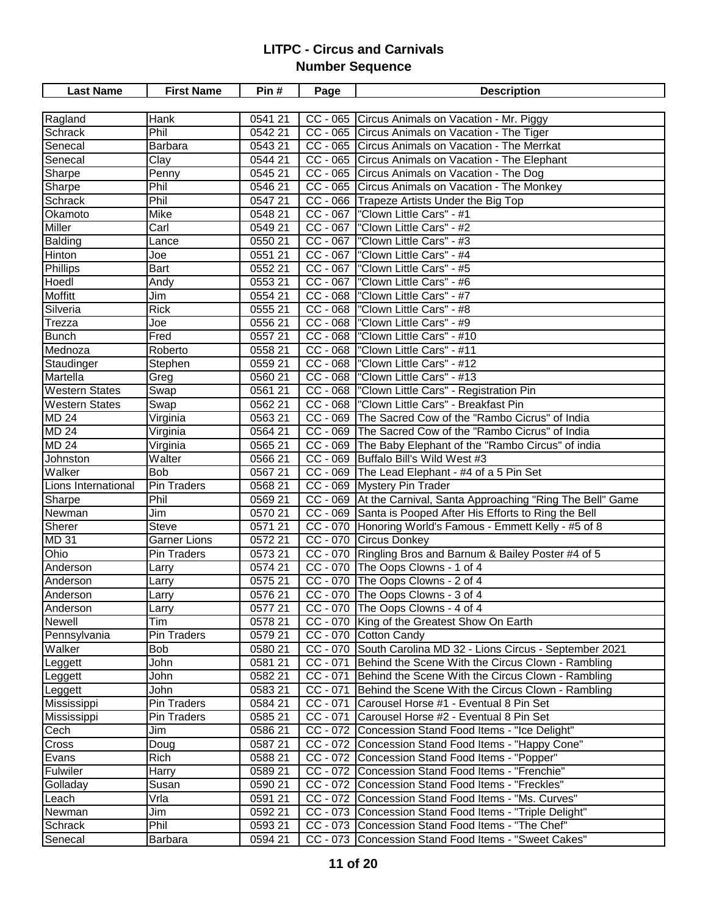| <b>Last Name</b>      | <b>First Name</b>   | Pin#    | Page       | <b>Description</b>                                               |
|-----------------------|---------------------|---------|------------|------------------------------------------------------------------|
|                       |                     |         |            |                                                                  |
| Ragland               | Hank                | 0541 21 | $CC - 065$ | Circus Animals on Vacation - Mr. Piggy                           |
| Schrack               | Phil                | 0542 21 |            | CC - 065 Circus Animals on Vacation - The Tiger                  |
| Senecal               | <b>Barbara</b>      | 0543 21 |            | CC - 065 Circus Animals on Vacation - The Merrkat                |
| Senecal               | Clay                | 0544 21 |            | CC - 065 Circus Animals on Vacation - The Elephant               |
| Sharpe                | Penny               | 0545 21 |            | CC - 065 Circus Animals on Vacation - The Dog                    |
| Sharpe                | Phil                | 0546 21 | $CC - 065$ | Circus Animals on Vacation - The Monkey                          |
| Schrack               | Phil                | 0547 21 | $CC - 066$ | Trapeze Artists Under the Big Top                                |
| Okamoto               | Mike                | 0548 21 | $CC - 067$ | "Clown Little Cars" - #1                                         |
| Miller                | Carl                | 0549 21 | $CC - 067$ | "Clown Little Cars" - #2                                         |
| Balding               | Lance               | 0550 21 | $CC - 067$ | "Clown Little Cars" - #3                                         |
| Hinton                | Joe                 | 0551 21 | $CC - 067$ | "Clown Little Cars" - #4                                         |
| Phillips              | Bart                | 0552 21 | CC - 067   | "Clown Little Cars" - #5                                         |
| Hoedl                 | Andy                | 0553 21 | CC - 067   | "Clown Little Cars" - #6                                         |
| Moffitt               | Jim                 | 0554 21 | $CC - 068$ | "Clown Little Cars" - #7                                         |
| Silveria              | <b>Rick</b>         | 0555 21 | $CC - 068$ | <sup>"</sup> Clown Little Cars" - #8                             |
| Trezza                | Joe                 | 0556 21 | $CC - 068$ | "Clown Little Cars" - #9                                         |
| <b>Bunch</b>          | Fred                | 0557 21 | $CC - 068$ | "Clown Little Cars" - #10                                        |
| Mednoza               | Roberto             | 0558 21 | CC - 068   | "Clown Little Cars" - #11                                        |
| Staudinger            | Stephen             | 0559 21 | $CC - 068$ | "Clown Little Cars" - #12                                        |
| Martella              | Greg                | 0560 21 |            | CC - 068   "Clown Little Cars" - #13                             |
| <b>Western States</b> | Swap                | 0561 21 | $CC - 068$ | "Clown Little Cars" - Registration Pin                           |
| <b>Western States</b> | Swap                | 0562 21 | $CC - 068$ | "Clown Little Cars" - Breakfast Pin                              |
| <b>MD 24</b>          | Virginia            | 056321  | $CC - 069$ | The Sacred Cow of the "Rambo Cicrus" of India                    |
| <b>MD 24</b>          | Virginia            | 0564 21 | CC - 069   | The Sacred Cow of the "Rambo Cicrus" of India                    |
| <b>MD 24</b>          | Virginia            | 0565 21 | $CC - 069$ | The Baby Elephant of the "Rambo Circus" of india                 |
| Johnston              | Walter              | 0566 21 | $CC - 069$ | Buffalo Bill's Wild West #3                                      |
| Walker                | <b>Bob</b>          | 0567 21 |            | CC - 069 The Lead Elephant - #4 of a 5 Pin Set                   |
| Lions International   | Pin Traders         | 0568 21 | $CC - 069$ | <b>Mystery Pin Trader</b>                                        |
| Sharpe                | Phil                | 0569 21 |            | CC - 069 At the Carnival, Santa Approaching "Ring The Bell" Game |
| Newman                | Jim                 | 0570 21 |            | CC - 069 Santa is Pooped After His Efforts to Ring the Bell      |
| Sherer                | <b>Steve</b>        | 0571 21 | CC - 070   | Honoring World's Famous - Emmett Kelly - #5 of 8                 |
| MD31                  | <b>Garner Lions</b> | 0572 21 |            | CC - 070 Circus Donkey                                           |
| Ohio                  | Pin Traders         | 057321  |            | CC - 070 Ringling Bros and Barnum & Bailey Poster #4 of 5        |
| Anderson              | Larry               | 0574 21 |            | CC - 070 The Oops Clowns - 1 of 4                                |
| Anderson              | Larry               | 0575 21 |            | CC - 070 The Oops Clowns - 2 of 4                                |
| Anderson              | Larry               | 0576 21 |            | CC - 070 The Oops Clowns - 3 of 4                                |
| Anderson              | Larry               | 057721  |            | CC - 070 The Oops Clowns - 4 of 4                                |
| Newell                | Tim                 | 0578 21 |            | CC - 070 King of the Greatest Show On Earth                      |
| Pennsylvania          | Pin Traders         | 0579 21 |            | CC - 070 Cotton Candy                                            |
| Walker                | Bob                 | 0580 21 |            | CC - 070 South Carolina MD 32 - Lions Circus - September 2021    |
| Leggett               | John                | 058121  |            | CC - 071 Behind the Scene With the Circus Clown - Rambling       |
| Leggett               | John                | 0582 21 | $CC - 071$ | Behind the Scene With the Circus Clown - Rambling                |
| Leggett               | John                | 0583 21 | $CC - 071$ | Behind the Scene With the Circus Clown - Rambling                |
| Mississippi           | Pin Traders         | 0584 21 | $CC - 071$ | Carousel Horse #1 - Eventual 8 Pin Set                           |
| Mississippi           | Pin Traders         | 0585 21 | $CC - 071$ | Carousel Horse #2 - Eventual 8 Pin Set                           |
| Cech                  | Jim                 | 0586 21 |            | CC - 072 Concession Stand Food Items - "Ice Delight"             |
| Cross                 | Doug                | 058721  |            | CC - 072 Concession Stand Food Items - "Happy Cone"              |
| Evans                 | Rich                | 0588 21 |            | CC - 072 Concession Stand Food Items - "Popper"                  |
| Fulwiler              | Harry               | 058921  |            | CC - 072 Concession Stand Food Items - "Frenchie"                |
| Golladay              | Susan               | 0590 21 | $CC - 072$ | Concession Stand Food Items - "Freckles"                         |
| Leach                 | Vrla                | 0591 21 | $CC - 072$ | Concession Stand Food Items - "Ms. Curves"                       |
| Newman                | Jim                 | 0592 21 |            | CC - 073 Concession Stand Food Items - "Triple Delight"          |
| Schrack               | Phil                | 0593 21 |            | CC - 073 Concession Stand Food Items - "The Chef"                |
| Senecal               | Barbara             | 0594 21 |            | CC - 073 Concession Stand Food Items - "Sweet Cakes"             |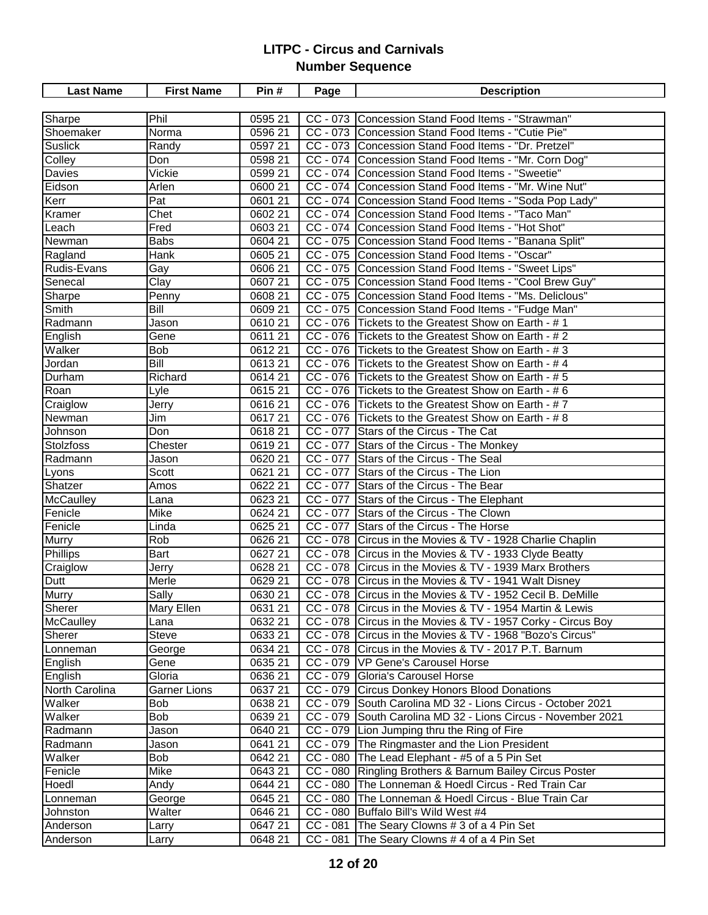| <b>Last Name</b> | <b>First Name</b> | Pin#    | Page       | <b>Description</b>                                           |
|------------------|-------------------|---------|------------|--------------------------------------------------------------|
|                  |                   |         |            |                                                              |
| Sharpe           | Phil              | 0595 21 | CC - 073   | Concession Stand Food Items - "Strawman"                     |
| Shoemaker        | Norma             | 0596 21 |            | CC - 073 Concession Stand Food Items - "Cutie Pie"           |
| <b>Suslick</b>   | Randy             | 0597 21 |            | CC - 073 Concession Stand Food Items - "Dr. Pretzel"         |
| Colley           | Don               | 0598 21 |            | CC - 074 Concession Stand Food Items - "Mr. Corn Dog"        |
| Davies           | Vickie            | 0599 21 |            | CC - 074 Concession Stand Food Items - "Sweetie"             |
| Eidson           | Arlen             | 0600 21 |            | CC - 074 Concession Stand Food Items - "Mr. Wine Nut"        |
| Kerr             | Pat               | 0601 21 |            | CC - 074 Concession Stand Food Items - "Soda Pop Lady"       |
| Kramer           | Chet              | 0602 21 |            | CC - 074 Concession Stand Food Items - "Taco Man"            |
| Leach            | Fred              | 0603 21 |            | CC - 074 Concession Stand Food Items - "Hot Shot"            |
| Newman           | <b>Babs</b>       | 0604 21 |            | CC - 075 Concession Stand Food Items - "Banana Split"        |
| Ragland          | Hank              | 0605 21 |            | CC - 075 Concession Stand Food Items - "Oscar"               |
| Rudis-Evans      | Gay               | 0606 21 |            | CC - 075 Concession Stand Food Items - "Sweet Lips"          |
| Senecal          | Clay              | 0607 21 |            | CC - 075 Concession Stand Food Items - "Cool Brew Guy"       |
| Sharpe           | Penny             | 0608 21 |            | CC - 075 Concession Stand Food Items - "Ms. Deliclous"       |
| Smith            | Bill              | 0609 21 |            | CC - 075 Concession Stand Food Items - "Fudge Man"           |
| Radmann          | Jason             | 0610 21 |            | CC - 076 Tickets to the Greatest Show on Earth - #1          |
| English          | Gene              | 061121  |            | CC - 076 Tickets to the Greatest Show on Earth - #2          |
| Walker           | Bob               | 061221  |            | CC - 076 Tickets to the Greatest Show on Earth - #3          |
| Jordan           | <b>Bill</b>       | 061321  |            | CC - 076 Tickets to the Greatest Show on Earth - #4          |
| Durham           | Richard           | 0614 21 |            | CC - 076 Tickets to the Greatest Show on Earth - #5          |
| Roan             | Lyle              | 0615 21 |            | CC - 076 Tickets to the Greatest Show on Earth - #6          |
| Craiglow         | Jerry             | 061621  |            | CC - 076 Tickets to the Greatest Show on Earth - #7          |
| Newman           | Jim               | 061721  |            | CC - 076 Tickets to the Greatest Show on Earth - # 8         |
| Johnson          | Don               | 061821  |            | CC - 077 Stars of the Circus - The Cat                       |
| Stolzfoss        | Chester           | 061921  | $CC - 077$ | Stars of the Circus - The Monkey                             |
| Radmann          | Jason             | 0620 21 | CC - 077   | Stars of the Circus - The Seal                               |
| Lyons            | Scott             | 0621 21 | $CC - 077$ | Stars of the Circus - The Lion                               |
| Shatzer          | Amos              | 0622 21 |            | CC - 077 Stars of the Circus - The Bear                      |
| McCaulley        | Lana              | 0623 21 |            | CC - 077 Stars of the Circus - The Elephant                  |
| Fenicle          | Mike              | 0624 21 |            | CC - 077 Stars of the Circus - The Clown                     |
| Fenicle          | Linda             | 0625 21 | CC - 077   | Stars of the Circus - The Horse                              |
| Murry            | Rob               | 0626 21 |            | CC - 078 Circus in the Movies & TV - 1928 Charlie Chaplin    |
| Phillips         | Bart              | 0627 21 |            | CC - 078 Circus in the Movies & TV - 1933 Clyde Beatty       |
| Craiglow         | Jerry             | 0628 21 |            | CC - 078 Circus in the Movies & TV - 1939 Marx Brothers      |
| Dutt             | Merle             | 0629 21 |            | CC - 078 Circus in the Movies & TV - 1941 Walt Disney        |
| Murry            | Sally             | 0630 21 |            | CC - 078 Circus in the Movies & TV - 1952 Cecil B. DeMille   |
| Sherer           | <b>Mary Ellen</b> | 0631 21 |            | CC - 078 Circus in the Movies & TV - 1954 Martin & Lewis     |
| McCaulley        | Lana              | 0632 21 |            | CC - 078 Circus in the Movies & TV - 1957 Corky - Circus Boy |
| Sherer           | <b>Steve</b>      | 0633 21 |            | CC - 078 Circus in the Movies & TV - 1968 "Bozo's Circus"    |
| Lonneman         | George            | 0634 21 |            | CC - 078 Circus in the Movies & TV - 2017 P.T. Barnum        |
| English          | Gene              | 0635 21 |            | CC - 079   VP Gene's Carousel Horse                          |
| English          | Gloria            | 0636 21 |            | CC - 079 Gloria's Carousel Horse                             |
| North Carolina   | Garner Lions      | 0637 21 |            | CC - 079 Circus Donkey Honors Blood Donations                |
| Walker           | <b>Bob</b>        | 0638 21 |            | CC - 079 South Carolina MD 32 - Lions Circus - October 2021  |
| Walker           | Bob               | 0639 21 |            | CC - 079 South Carolina MD 32 - Lions Circus - November 2021 |
| Radmann          | Jason             | 0640 21 |            | CC - 079 Lion Jumping thru the Ring of Fire                  |
| Radmann          | Jason             | 0641 21 |            | CC - 079 The Ringmaster and the Lion President               |
| Walker           | <b>Bob</b>        | 0642 21 |            | CC - 080 The Lead Elephant - #5 of a 5 Pin Set               |
| Fenicle          | Mike              | 0643 21 |            | CC - 080 Ringling Brothers & Barnum Bailey Circus Poster     |
| Hoedl            | Andy              | 0644 21 |            | CC - 080 The Lonneman & Hoedl Circus - Red Train Car         |
| Lonneman         | George            | 0645 21 |            | CC - 080 The Lonneman & Hoedl Circus - Blue Train Car        |
| Johnston         | Walter            | 0646 21 |            | CC - 080 Buffalo Bill's Wild West #4                         |
| Anderson         | Larry             | 0647 21 |            | CC - 081 The Seary Clowns # 3 of a 4 Pin Set                 |
| Anderson         | Larry             | 0648 21 | $CC - 081$ | The Seary Clowns # 4 of a 4 Pin Set                          |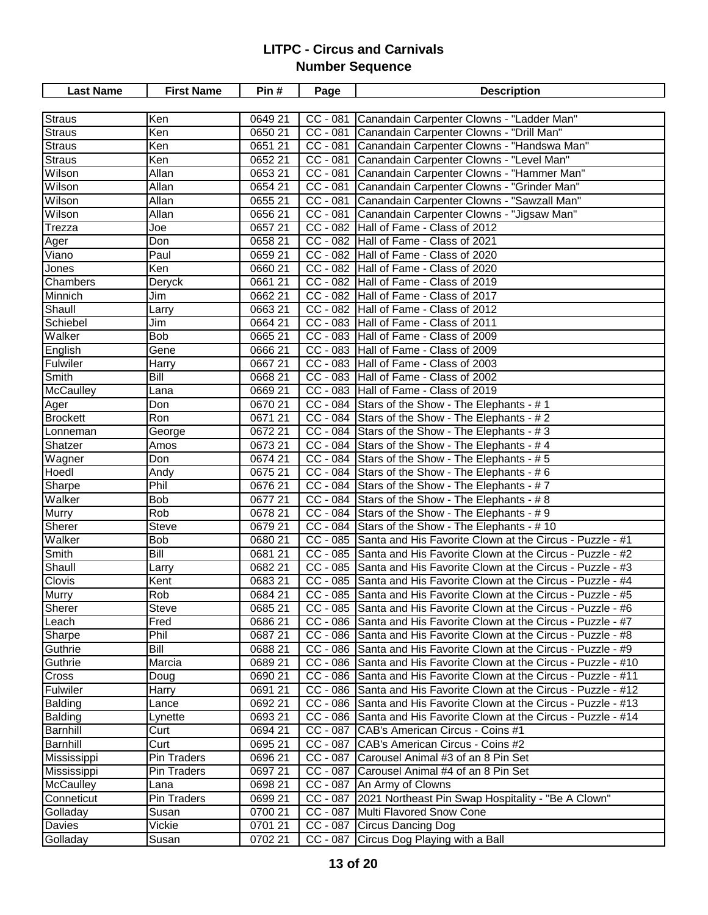| <b>Last Name</b> | <b>First Name</b> | Pin#    | Page       | <b>Description</b>                                                   |
|------------------|-------------------|---------|------------|----------------------------------------------------------------------|
|                  |                   |         |            |                                                                      |
| Straus           | Ken               | 0649 21 | $CC - 081$ | Canandain Carpenter Clowns - "Ladder Man"                            |
| <b>Straus</b>    | Ken               | 0650 21 | $CC - 081$ | Canandain Carpenter Clowns - "Drill Man"                             |
| <b>Straus</b>    | Ken               | 0651 21 |            | CC - 081 Canandain Carpenter Clowns - "Handswa Man"                  |
| <b>Straus</b>    | Ken               | 0652 21 |            | CC - 081 Canandain Carpenter Clowns - "Level Man"                    |
| Wilson           | Allan             | 0653 21 | $CC - 081$ | Canandain Carpenter Clowns - "Hammer Man"                            |
| Wilson           | Allan             | 065421  | $CC - 081$ | Canandain Carpenter Clowns - "Grinder Man"                           |
| Wilson           | Allan             | 0655 21 | CC - 081   | Canandain Carpenter Clowns - "Sawzall Man"                           |
| Wilson           | Allan             | 0656 21 | $CC - 081$ | Canandain Carpenter Clowns - "Jigsaw Man"                            |
| Trezza           | Joe               | 0657 21 |            | CC - 082 Hall of Fame - Class of 2012                                |
| Ager             | Don               | 0658 21 |            | CC - 082 Hall of Fame - Class of 2021                                |
| Viano            | Paul              | 065921  |            | CC - 082 Hall of Fame - Class of 2020                                |
| Jones            | Ken               | 0660 21 |            | CC - 082 Hall of Fame - Class of 2020                                |
| Chambers         | Deryck            | 066121  |            | CC - 082 Hall of Fame - Class of 2019                                |
| Minnich          | Jim               | 0662 21 |            | CC - 082 Hall of Fame - Class of 2017                                |
| Shaull           | Larry             | 0663 21 |            | CC - 082 Hall of Fame - Class of 2012                                |
| Schiebel         | Jim               | 0664 21 |            | CC - 083 Hall of Fame - Class of 2011                                |
| Walker           | <b>Bob</b>        | 066521  |            | CC - 083 Hall of Fame - Class of 2009                                |
| English          | Gene              | 066621  |            | CC - 083 Hall of Fame - Class of 2009                                |
| Fulwiler         | <b>Harry</b>      | 066721  |            | CC - 083 Hall of Fame - Class of 2003                                |
| Smith            | Bill              | 0668 21 |            | CC - 083 Hall of Fame - Class of 2002                                |
| McCaulley        | Lana              | 066921  |            | CC - 083 Hall of Fame - Class of 2019                                |
| Ager             | Don               | 0670 21 |            | CC - 084 Stars of the Show - The Elephants - #1                      |
| <b>Brockett</b>  | Ron               | 067121  |            | CC - 084 Stars of the Show - The Elephants - #2                      |
| Lonneman         | George            | 0672 21 |            | CC - 084 Stars of the Show - The Elephants - #3                      |
| Shatzer          | Amos              | 067321  |            | CC - 084 Stars of the Show - The Elephants - #4                      |
| Wagner           | Don               | 0674 21 |            | CC - 084 Stars of the Show - The Elephants - #5                      |
| Hoedl            | Andy              | 0675 21 |            | CC - 084 Stars of the Show - The Elephants - #6                      |
| Sharpe           | Phil              | 0676 21 |            | CC - 084 Stars of the Show - The Elephants - #7                      |
| Walker           | <b>Bob</b>        | 0677 21 |            | CC - 084 Stars of the Show - The Elephants - #8                      |
| Murry            | Rob               | 0678 21 |            | CC - 084 Stars of the Show - The Elephants - #9                      |
| Sherer           | <b>Steve</b>      | 0679 21 |            | $CC - 084$ Stars of the Show - The Elephants - #10                   |
| Walker           | <b>Bob</b>        | 0680 21 |            | CC - 085 Santa and His Favorite Clown at the Circus - Puzzle - #1    |
| Smith            | <b>Bill</b>       | 068121  |            | CC - 085 Santa and His Favorite Clown at the Circus - Puzzle - #2    |
| Shaull           | Larry             | 0682 21 |            | CC - 085 Santa and His Favorite Clown at the Circus - Puzzle - #3    |
| Clovis           | Kent              | 0683 21 |            | CC - 085 Santa and His Favorite Clown at the Circus - Puzzle - #4    |
| Murry            | Rob               | 0684 21 |            | CC - 085 Santa and His Favorite Clown at the Circus - Puzzle - #5    |
| Sherer           | <b>Steve</b>      | 0685 21 |            | CC - 085 Santa and His Favorite Clown at the Circus - Puzzle - #6    |
| Leach            | Fred              | 068621  |            | CC - 086 Santa and His Favorite Clown at the Circus - Puzzle - #7    |
| Sharpe           | Phil              | 0687 21 |            | CC - 086 Santa and His Favorite Clown at the Circus - Puzzle - #8    |
| Guthrie          | Bill              | 068821  |            | CC - 086 Santa and His Favorite Clown at the Circus - Puzzle - #9    |
| Guthrie          | Marcia            | 068921  |            | CC - 086 Santa and His Favorite Clown at the Circus - Puzzle - #10   |
| Cross            | Doug              | 0690 21 |            | CC - 086 Santa and His Favorite Clown at the Circus - Puzzle - #11   |
| <b>Fulwiler</b>  | Harry             | 0691 21 |            | CC - 086   Santa and His Favorite Clown at the Circus - Puzzle - #12 |
| <b>Balding</b>   | Lance             | 0692 21 |            | CC - 086 Santa and His Favorite Clown at the Circus - Puzzle - #13   |
| <b>Balding</b>   | Lynette           | 0693 21 |            | CC - 086 Santa and His Favorite Clown at the Circus - Puzzle - #14   |
| Barnhill         | Curt              | 0694 21 | $CC - 087$ | CAB's American Circus - Coins #1                                     |
| Barnhill         | Curt              | 0695 21 | $CC - 087$ | CAB's American Circus - Coins #2                                     |
| Mississippi      | Pin Traders       | 0696 21 | $CC - 087$ | Carousel Animal #3 of an 8 Pin Set                                   |
| Mississippi      | Pin Traders       | 0697 21 | $CC - 087$ | Carousel Animal #4 of an 8 Pin Set                                   |
| McCaulley        | Lana              | 0698 21 |            | CC - 087 An Army of Clowns                                           |
| Conneticut       | Pin Traders       | 0699 21 | $CC - 087$ | 2021 Northeast Pin Swap Hospitality - "Be A Clown"                   |
| Golladay         | Susan             | 0700 21 | $CC - 087$ | Multi Flavored Snow Cone                                             |
| Davies           | Vickie            | 0701 21 | $CC - 087$ | Circus Dancing Dog                                                   |
| Golladay         | Susan             | 0702 21 |            | CC - 087 Circus Dog Playing with a Ball                              |
|                  |                   |         |            |                                                                      |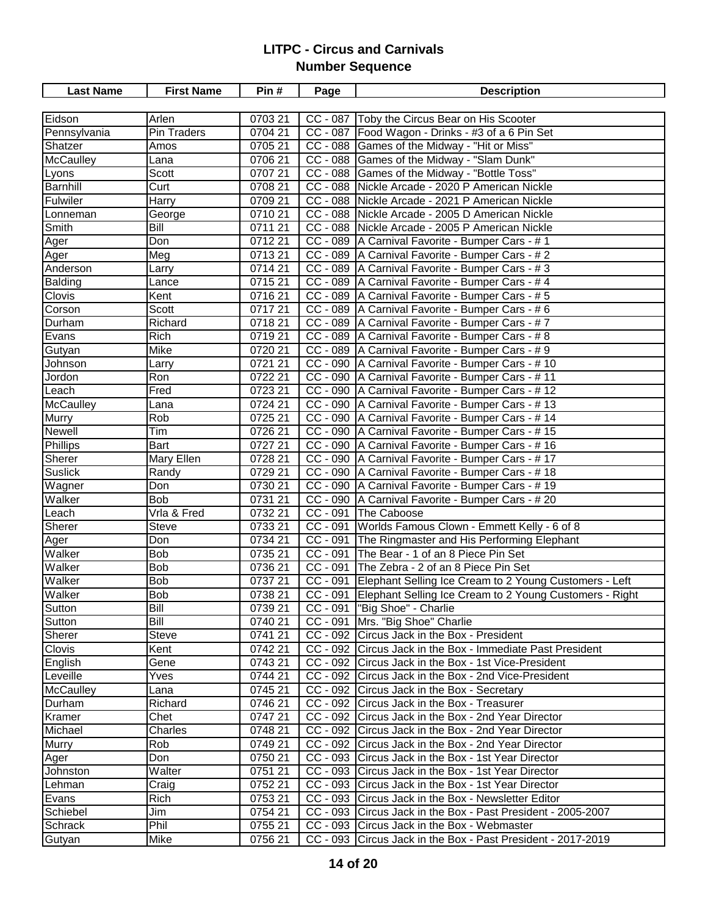| <b>Last Name</b> | <b>First Name</b> | Pin#                | Page                  | <b>Description</b>                                               |
|------------------|-------------------|---------------------|-----------------------|------------------------------------------------------------------|
|                  |                   |                     |                       |                                                                  |
| Eidson           | Arlen             | 0703 21             | CC - 087              | Toby the Circus Bear on His Scooter                              |
| Pennsylvania     | Pin Traders       | $\overline{070}421$ |                       | CC - 087 Food Wagon - Drinks - #3 of a 6 Pin Set                 |
| Shatzer          | Amos              | 0705 21             |                       | CC - 088 Games of the Midway - "Hit or Miss"                     |
| McCaulley        | Lana              | 0706 21             |                       | CC - 088 Games of the Midway - "Slam Dunk"                       |
| Lyons            | Scott             | 0707 21             |                       | CC - 088 Games of the Midway - "Bottle Toss"                     |
| Barnhill         | Curt              | 0708 21             |                       | CC - 088 Nickle Arcade - 2020 P American Nickle                  |
| Fulwiler         | Harry             | 0709 21             |                       | CC - 088 Nickle Arcade - 2021 P American Nickle                  |
| Lonneman         | George            | 0710 21             |                       | CC - 088 Nickle Arcade - 2005 D American Nickle                  |
| Smith            | Bill              | 0711 21             |                       | CC - 088 Nickle Arcade - 2005 P American Nickle                  |
| Ager             | Don               | 0712 21             |                       | CC - 089 A Carnival Favorite - Bumper Cars - # 1                 |
| Ager             | Meg               | 071321              |                       | CC - 089   A Carnival Favorite - Bumper Cars - # 2               |
| Anderson         | Larry             | 0714 21             |                       | CC - 089   A Carnival Favorite - Bumper Cars - # 3               |
| <b>Balding</b>   | Lance             | 0715 21             |                       | CC - 089   A Carnival Favorite - Bumper Cars - #4                |
| Clovis           | Kent              | 071621              |                       | CC - 089   A Carnival Favorite - Bumper Cars - # 5               |
| Corson           | Scott             | 071721              |                       | CC - 089   A Carnival Favorite - Bumper Cars - #6                |
| Durham           | Richard           | 0718 21             |                       | CC - 089   A Carnival Favorite - Bumper Cars - #7                |
| Evans            | Rich              | 071921              |                       | CC - 089   A Carnival Favorite - Bumper Cars - # 8               |
| Gutyan           | Mike              | 0720 21             |                       | CC - 089   A Carnival Favorite - Bumper Cars - # 9               |
| Johnson          | Larry             | 0721 21             |                       | CC - 090   A Carnival Favorite - Bumper Cars - #10               |
| Jordon           | Ron               | 0722 21             |                       | CC - 090   A Carnival Favorite - Bumper Cars - #11               |
| Leach            | Fred              | 0723 21             |                       | CC - 090   A Carnival Favorite - Bumper Cars - # 12              |
| McCaulley        | Lana              | 0724 21             |                       | CC - 090   A Carnival Favorite - Bumper Cars - #13               |
| Murry            | Rob               | 0725 21             |                       | CC - 090   A Carnival Favorite - Bumper Cars - #14               |
| Newell           | Tim               | 0726 21             |                       | CC - 090   A Carnival Favorite - Bumper Cars - # 15              |
| <b>Phillips</b>  | Bart              | 0727 21             |                       | CC - 090   A Carnival Favorite - Bumper Cars - #16               |
| Sherer           | Mary Ellen        | 0728 21             |                       | CC - 090   A Carnival Favorite - Bumper Cars - # 17              |
| <b>Suslick</b>   | Randy             | 0729 21             |                       | CC - 090   A Carnival Favorite - Bumper Cars - # 18              |
| Wagner           | Don               | 0730 21             |                       | CC - 090   A Carnival Favorite - Bumper Cars - # 19              |
| Walker           | <b>Bob</b>        | 0731 21             |                       | CC - 090   A Carnival Favorite - Bumper Cars - # 20              |
| Leach            | Vrla & Fred       | 0732 21             | $CC - 091$            | The Caboose                                                      |
| Sherer           | <b>Steve</b>      | 0733 21             | CC - 091              | Worlds Famous Clown - Emmett Kelly - 6 of 8                      |
| Ager             | Don               | 0734 21             | $\overline{CC}$ - 091 | The Ringmaster and His Performing Elephant                       |
| Walker           | <b>Bob</b>        | 0735 21             | $CC - 091$            | The Bear - 1 of an 8 Piece Pin Set                               |
| Walker           | <b>Bob</b>        | 0736 21             | $\overline{CC}$ - 091 | The Zebra - 2 of an 8 Piece Pin Set                              |
| Walker           | <b>Bob</b>        | 0737 21             | CC - 091              | Elephant Selling Ice Cream to 2 Young Customers - Left           |
| Walker           | <b>Bob</b>        | 0738 21             |                       | CC - 091 Elephant Selling Ice Cream to 2 Young Customers - Right |
| Sutton           | Bill              | 0739 21             |                       | CC - 091  "Big Shoe" - Charlie                                   |
| Sutton           | Bill              | 0740 21             |                       | CC - 091 Mrs. "Big Shoe" Charlie                                 |
| Sherer           | <b>Steve</b>      | 0741 21             |                       | CC - 092 Circus Jack in the Box - President                      |
| Clovis           | Kent              | 0742 21             |                       | CC - 092 Circus Jack in the Box - Immediate Past President       |
| English          | Gene              | 0743 21             |                       | CC - 092 Circus Jack in the Box - 1st Vice-President             |
| Leveille         | Yves              | 0744 21             |                       | CC - 092 Circus Jack in the Box - 2nd Vice-President             |
| <b>McCaulley</b> | Lana              | 0745 21             |                       | CC - 092 Circus Jack in the Box - Secretary                      |
| Durham           | Richard           | 0746 21             |                       | CC - 092 Circus Jack in the Box - Treasurer                      |
| Kramer           | Chet              | 0747 21             |                       | CC - 092 Circus Jack in the Box - 2nd Year Director              |
| Michael          | Charles           | 0748 21             |                       | CC - 092 Circus Jack in the Box - 2nd Year Director              |
| <b>Murry</b>     | Rob               | 0749 21             |                       | CC - 092 Circus Jack in the Box - 2nd Year Director              |
| Ager             | Don               | 0750 21             |                       | CC - 093 Circus Jack in the Box - 1st Year Director              |
| Johnston         | Walter            | 0751 21             |                       | CC - 093 Circus Jack in the Box - 1st Year Director              |
| Lehman           | Craig             | 0752 21             |                       | CC - 093 Circus Jack in the Box - 1st Year Director              |
| Evans            | Rich              | 0753 21             | $CC - 093$            | Circus Jack in the Box - Newsletter Editor                       |
| Schiebel         | Jim               | 0754 21             | $CC - 093$            | Circus Jack in the Box - Past President - 2005-2007              |
| Schrack          | Phil              | 0755 21             |                       | CC - 093 Circus Jack in the Box - Webmaster                      |
| Gutyan           | Mike              | 0756 21             |                       | CC - 093 Circus Jack in the Box - Past President - 2017-2019     |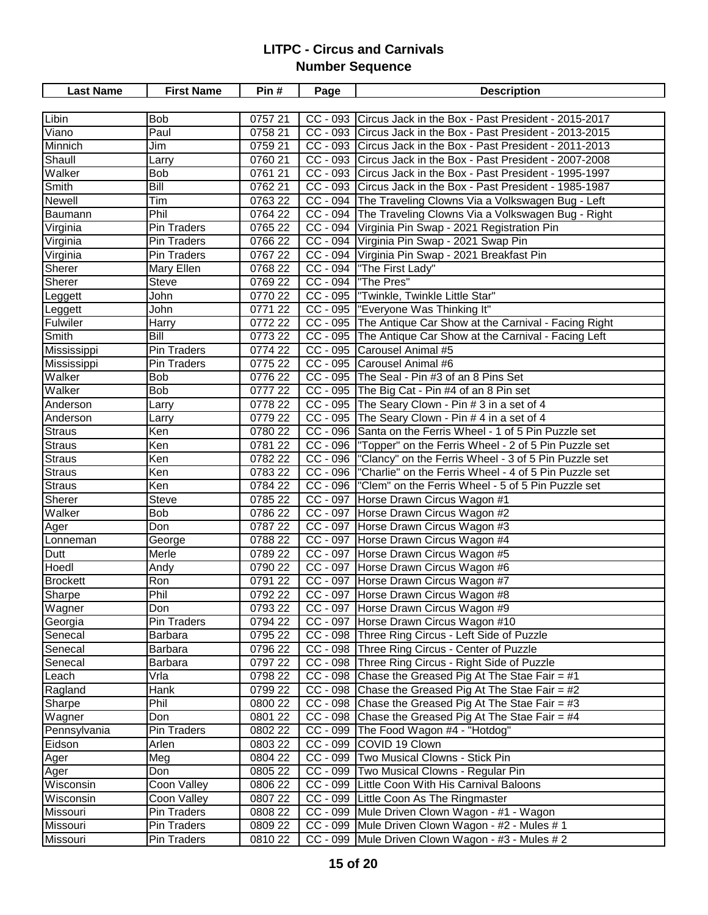| <b>Last Name</b> | <b>First Name</b>  | Pin#                 | Page       | <b>Description</b>                                           |
|------------------|--------------------|----------------------|------------|--------------------------------------------------------------|
|                  |                    |                      |            |                                                              |
| Libin            | <b>Bob</b>         | 0757 21              | $CC - 093$ | Circus Jack in the Box - Past President - 2015-2017          |
| Viano            | Paul               | $\overline{0758}$ 21 |            | CC - 093 Circus Jack in the Box - Past President - 2013-2015 |
| Minnich          | Jim                | 0759 21              |            | CC - 093 Circus Jack in the Box - Past President - 2011-2013 |
| Shaull           | Larry              | 0760 21              |            | CC - 093 Circus Jack in the Box - Past President - 2007-2008 |
| Walker           | <b>Bob</b>         | 0761 21              |            | CC - 093 Circus Jack in the Box - Past President - 1995-1997 |
| Smith            | Bill               | 0762 21              |            | CC - 093 Circus Jack in the Box - Past President - 1985-1987 |
| Newell           | Tim                | 0763 22              |            | CC - 094 The Traveling Clowns Via a Volkswagen Bug - Left    |
| Baumann          | Phil               | 0764 22              |            | CC - 094 The Traveling Clowns Via a Volkswagen Bug - Right   |
| Virginia         | <b>Pin Traders</b> | 0765 22              |            | CC - 094 Virginia Pin Swap - 2021 Registration Pin           |
| Virginia         | <b>Pin Traders</b> | 0766 22              |            | CC - 094 Virginia Pin Swap - 2021 Swap Pin                   |
| Virginia         | Pin Traders        | 0767 22              |            | CC - 094 Virginia Pin Swap - 2021 Breakfast Pin              |
| Sherer           | Mary Ellen         | 0768 22              |            | CC - 094   "The First Lady"                                  |
| Sherer           | <b>Steve</b>       | 0769 22              |            | CC - 094   "The Pres"                                        |
| Leggett          | John               | 0770 22              |            | CC - 095   "Twinkle, Twinkle Little Star"                    |
| Leggett          | John               | 0771 22              |            | CC - 095  "Everyone Was Thinking It"                         |
| Fulwiler         | <b>Harry</b>       | 0772 22              |            | CC - 095 The Antique Car Show at the Carnival - Facing Right |
| Smith            | Bill               | 0773 22              |            | CC - 095 The Antique Car Show at the Carnival - Facing Left  |
| Mississippi      | <b>Pin Traders</b> | 0774 22              | CC - 095   | Carousel Animal #5                                           |
| Mississippi      | Pin Traders        | 0775 22              | $CC - 095$ | Carousel Animal #6                                           |
| Walker           | <b>Bob</b>         | 0776 22              |            | CC - 095 The Seal - Pin #3 of an 8 Pins Set                  |
| Walker           | Bob                | 0777 22              |            | CC - 095 The Big Cat - Pin #4 of an 8 Pin set                |
| Anderson         | Larry              | 0778 22              |            | CC - 095 The Seary Clown - Pin # 3 in a set of 4             |
| Anderson         | Larry              | 0779 22              |            | CC - 095 The Seary Clown - Pin # 4 in a set of 4             |
| <b>Straus</b>    | Ken                | 0780 22              | CC - 096   | Santa on the Ferris Wheel - 1 of 5 Pin Puzzle set            |
| Straus           | Ken                | 0781 22              |            | CC - 096 Topper" on the Ferris Wheel - 2 of 5 Pin Puzzle set |
| <b>Straus</b>    | Ken                | 0782 22              | CC - 096   | "Clancy" on the Ferris Wheel - 3 of 5 Pin Puzzle set         |
| Straus           | Ken                | 0783 22              | $CC - 096$ | "Charlie" on the Ferris Wheel - 4 of 5 Pin Puzzle set        |
| Straus           | Ken                | 0784 22              |            | CC - 096  "Clem" on the Ferris Wheel - 5 of 5 Pin Puzzle set |
| Sherer           | <b>Steve</b>       | 0785 22              | CC - 097   | Horse Drawn Circus Wagon #1                                  |
| Walker           | <b>Bob</b>         | 0786 22              | $CC - 097$ | Horse Drawn Circus Wagon #2                                  |
| Ager             | Don                | 0787 22              |            | CC - 097 Horse Drawn Circus Wagon #3                         |
| Lonneman         | George             | 0788 22              |            | CC - 097 Horse Drawn Circus Wagon #4                         |
| Dutt             | Merle              | 0789 22              |            | CC - 097 Horse Drawn Circus Wagon #5                         |
| Hoedl            | Andy               | 0790 22              | CC - 097   | Horse Drawn Circus Wagon #6                                  |
| <b>Brockett</b>  | Ron                | 0791 22              |            | CC - 097 Horse Drawn Circus Wagon #7                         |
| Sharpe           | Phil               | 0792 22              |            | CC - 097 Horse Drawn Circus Wagon #8                         |
| Wagner           | Don                | 0793 22              |            | CC - 097 Horse Drawn Circus Wagon #9                         |
| Georgia          | Pin Traders        | 0794 22              |            | CC - 097 Horse Drawn Circus Wagon #10                        |
| Senecal          | <b>Barbara</b>     | 0795 22              |            | CC - 098 Three Ring Circus - Left Side of Puzzle             |
| Senecal          | Barbara            | 0796 22              |            | CC - 098 Three Ring Circus - Center of Puzzle                |
| Senecal          | Barbara            | $\frac{1}{0797}$ 22  |            | CC - 098 Three Ring Circus - Right Side of Puzzle            |
| Leach            | Vrla               | 0798 22              |            | CC - 098 Chase the Greased Pig At The Stae Fair = $#1$       |
| Ragland          | Hank               | 0799 22              |            | CC - 098 Chase the Greased Pig At The Stae Fair = $#2$       |
| Sharpe           | Phil               | 0800 22              |            | CC - 098 Chase the Greased Pig At The Stae Fair = $\#3$      |
| Wagner           | Don                | 0801 22              |            | CC - 098 Chase the Greased Pig At The Stae Fair = $#4$       |
| Pennsylvania     | Pin Traders        | 0802 22              |            | CC - 099 The Food Wagon #4 - "Hotdog"                        |
| Eidson           | Arlen              | 0803 22              |            | CC - 099 COVID 19 Clown                                      |
| Ager             | Meg                | 0804 22              |            | CC - 099 Two Musical Clowns - Stick Pin                      |
| Ager             | Don                | 0805 22              |            | CC - 099   Two Musical Clowns - Regular Pin                  |
| Wisconsin        | Coon Valley        | 0806 22              |            | CC - 099 Little Coon With His Carnival Baloons               |
| Wisconsin        | Coon Valley        | 0807 22              |            | CC - 099 Little Coon As The Ringmaster                       |
| Missouri         | Pin Traders        | 0808 22              |            | CC - 099 Mule Driven Clown Wagon - #1 - Wagon                |
| Missouri         | Pin Traders        | 0809 22              |            | CC - 099 Mule Driven Clown Wagon - #2 - Mules # 1            |
| Missouri         | Pin Traders        | 0810 22              |            | CC - 099 Mule Driven Clown Wagon - #3 - Mules # 2            |
|                  |                    |                      |            |                                                              |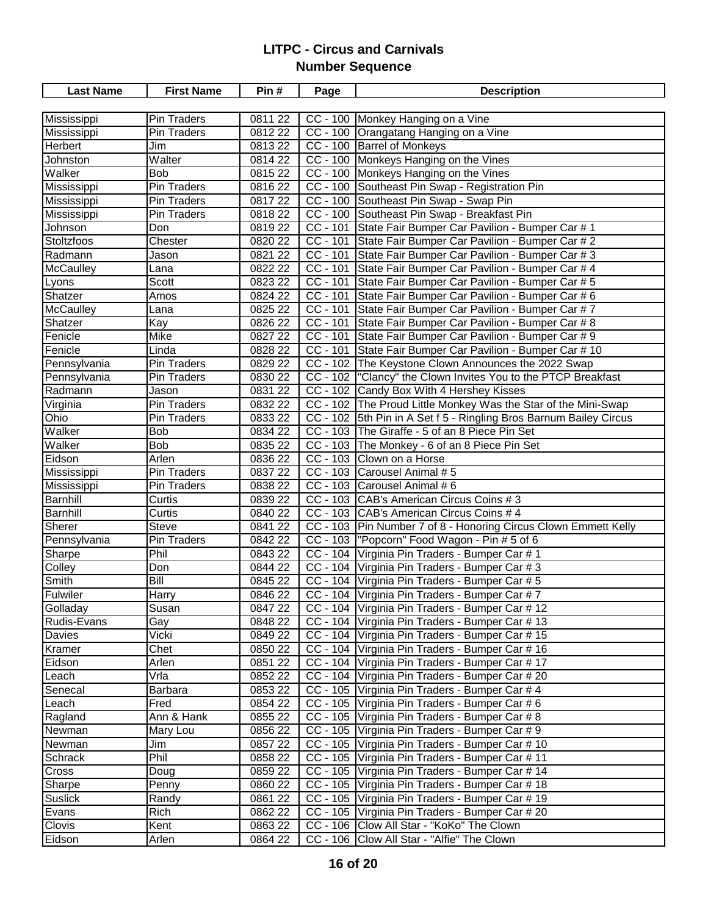| <b>Last Name</b>   | <b>First Name</b>  | Pin#                 | Page                  | <b>Description</b>                                              |
|--------------------|--------------------|----------------------|-----------------------|-----------------------------------------------------------------|
|                    |                    |                      |                       |                                                                 |
| Mississippi        | <b>Pin Traders</b> | 0811 22              |                       | CC - 100 Monkey Hanging on a Vine                               |
| Mississippi        | <b>Pin Traders</b> | 0812 22              |                       | CC - 100 Orangatang Hanging on a Vine                           |
| <b>Herbert</b>     | Jim                | 081322               |                       | CC - 100 Barrel of Monkeys                                      |
| Johnston           | Walter             | 0814 22              |                       | CC - 100 Monkeys Hanging on the Vines                           |
| Walker             | <b>Bob</b>         | 0815 22              |                       | CC - 100 Monkeys Hanging on the Vines                           |
| Mississippi        | <b>Pin Traders</b> | 081622               |                       | CC - 100 Southeast Pin Swap - Registration Pin                  |
| Mississippi        | <b>Pin Traders</b> | 081722               |                       | CC - 100 Southeast Pin Swap - Swap Pin                          |
| Mississippi        | <b>Pin Traders</b> | 0818 22              |                       | CC - 100 Southeast Pin Swap - Breakfast Pin                     |
| Johnson            | Don                | 081922               |                       | CC - 101 State Fair Bumper Car Pavilion - Bumper Car # 1        |
| Stoltzfoos         | Chester            | 0820 22              | $CC - 101$            | State Fair Bumper Car Pavilion - Bumper Car # 2                 |
| Radmann            | Jason              | $\overline{0821}$ 22 | $CC - 101$            | State Fair Bumper Car Pavilion - Bumper Car # 3                 |
| McCaulley          | Lana               | 0822 22              | $CC - 101$            | State Fair Bumper Car Pavilion - Bumper Car # 4                 |
| Lyons              | Scott              | 0823 22              | $\overline{CC}$ - 101 | State Fair Bumper Car Pavilion - Bumper Car # 5                 |
| Shatzer            | Amos               | $\overline{0824}$ 22 | $CC - 101$            | State Fair Bumper Car Pavilion - Bumper Car # 6                 |
| McCaulley          | Lana               | 0825 22              |                       | CC - 101 State Fair Bumper Car Pavilion - Bumper Car # 7        |
| Shatzer            | Kay                | 0826 22              | $CC - 101$            | State Fair Bumper Car Pavilion - Bumper Car # 8                 |
| Fenicle            | Mike               | 0827 22              |                       | CC - 101 State Fair Bumper Car Pavilion - Bumper Car # 9        |
| Fenicle            | Linda              | 0828 22              | $CC - 101$            | State Fair Bumper Car Pavilion - Bumper Car # 10                |
| Pennsylvania       | <b>Pin Traders</b> | 0829 22              |                       | CC - 102 The Keystone Clown Announces the 2022 Swap             |
| Pennsylvania       | Pin Traders        | 0830 22              |                       | CC - 102  "Clancy" the Clown Invites You to the PTCP Breakfast  |
| Radmann            | Jason              | 0831 22              |                       | CC - 102 Candy Box With 4 Hershey Kisses                        |
| Virginia           | Pin Traders        | 0832 22              |                       | CC - 102 The Proud Little Monkey Was the Star of the Mini-Swap  |
| Ohio               | Pin Traders        | 0833 22              | $CC - 102$            | 5th Pin in A Set f 5 - Ringling Bros Barnum Bailey Circus       |
| Walker             | <b>Bob</b>         | 0834 22              |                       | CC - 103 The Giraffe - 5 of an 8 Piece Pin Set                  |
| Walker             | <b>Bob</b>         | 0835 22              | $CC - 103$            | The Monkey - 6 of an 8 Piece Pin Set                            |
| Eidson             | Arlen              | 0836 22              | $CC - 103$            | Clown on a Horse                                                |
| Mississippi        | Pin Traders        | 0837 22              | $CC - 103$            | Carousel Animal # 5                                             |
| Mississippi        | Pin Traders        | 0838 22              | $CC - 103$            | Carousel Animal # 6                                             |
| Barnhill           | Curtis             | 0839 22              | $CC - 103$            | CAB's American Circus Coins # 3                                 |
| <b>Barnhill</b>    | Curtis             | 0840 22              |                       | CC - 103 CAB's American Circus Coins # 4                        |
| Sherer             | <b>Steve</b>       | 0841 22              |                       | CC - 103 Pin Number 7 of 8 - Honoring Circus Clown Emmett Kelly |
| Pennsylvania       | <b>Pin Traders</b> | 0842 22              |                       | CC - 103  "Popcorn" Food Wagon - Pin # 5 of 6                   |
| Sharpe             | Phil               | 0843 22              | $CC - 104$            | Virginia Pin Traders - Bumper Car # 1                           |
| Colley             | Don                | 0844 22              | $\overline{CC}$ - 104 | Virginia Pin Traders - Bumper Car # 3                           |
| Smith              | Bill               | 0845 22              |                       | CC - 104 Virginia Pin Traders - Bumper Car # 5                  |
| Fulwiler           | Harry              | 0846 22              |                       | CC - 104 Virginia Pin Traders - Bumper Car # 7                  |
| Golladay           | Susan              | 0847 22              |                       | CC - 104 Virginia Pin Traders - Bumper Car # 12                 |
| <b>Rudis-Evans</b> | Gay                | 0848 22              |                       | CC - 104 Virginia Pin Traders - Bumper Car # 13                 |
| Davies             | Vicki              | 0849 22              |                       | CC - 104 Virginia Pin Traders - Bumper Car # 15                 |
| Kramer             | Chet               | 0850 22              |                       | CC - 104 Virginia Pin Traders - Bumper Car # 16                 |
| Eidson             | Arlen              | 0851 22              |                       | CC - 104 Virginia Pin Traders - Bumper Car # 17                 |
| Leach              | Vrla               | 0852 22              |                       | CC - 104 Virginia Pin Traders - Bumper Car # 20                 |
| Senecal            | Barbara            | 0853 22              |                       | CC - 105 Virginia Pin Traders - Bumper Car # 4                  |
| Leach              | Fred               | 0854 22              |                       | CC - 105 Virginia Pin Traders - Bumper Car # 6                  |
| Ragland            | Ann & Hank         | 0855 22              |                       | CC - 105 Virginia Pin Traders - Bumper Car # 8                  |
| Newman             | Mary Lou           | 0856 22              | $CC - 105$            | Virginia Pin Traders - Bumper Car # 9                           |
| Newman             | Jim                | 0857 22              |                       | CC - 105 Virginia Pin Traders - Bumper Car # 10                 |
| Schrack            | Phil               | 0858 22              | $CC - 105$            | Virginia Pin Traders - Bumper Car # 11                          |
| Cross              | Doug               | 0859 22              |                       | CC - 105   Virginia Pin Traders - Bumper Car # 14               |
| Sharpe             | Penny              | 0860 22              |                       | CC - 105 Virginia Pin Traders - Bumper Car # 18                 |
| <b>Suslick</b>     | Randy              | 0861 22              | $CC - 105$            | Virginia Pin Traders - Bumper Car # 19                          |
| Evans              | Rich               | 0862 22              | $CC - 105$            | Virginia Pin Traders - Bumper Car # 20                          |
| Clovis             | Kent               | 086322               | $CC - 106$            | Clow All Star - "KoKo" The Clown                                |
| Eidson             | Arlen              | 0864 22              | $CC - 106$            | Clow All Star - "Alfie" The Clown                               |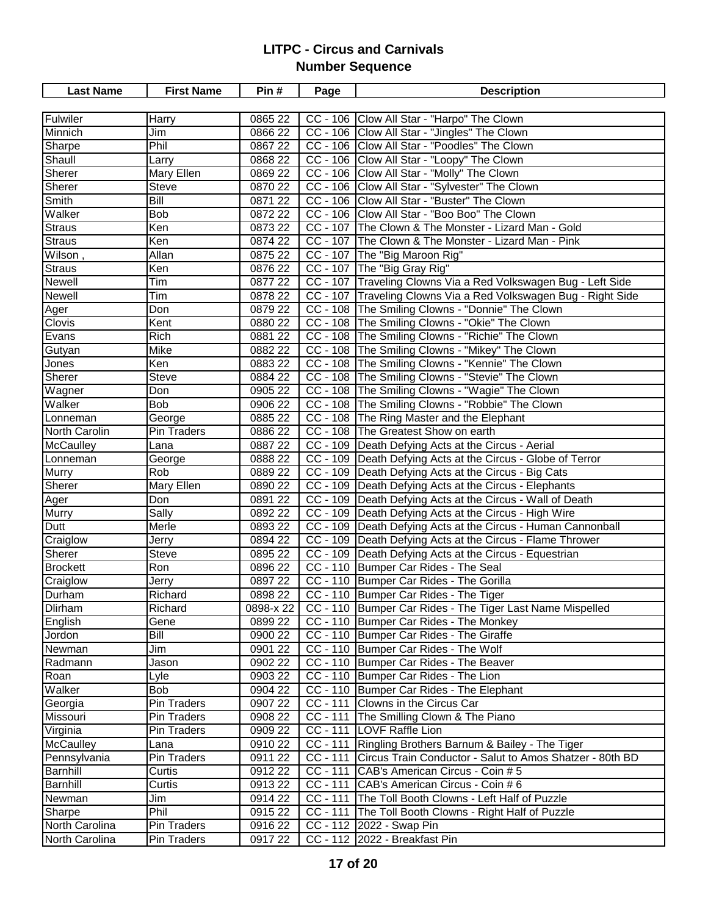| <b>Last Name</b> | <b>First Name</b> | Pin#      | Page       | <b>Description</b>                                              |
|------------------|-------------------|-----------|------------|-----------------------------------------------------------------|
|                  |                   |           |            |                                                                 |
| Fulwiler         | Harry             | 0865 22   |            | CC - 106 Clow All Star - "Harpo" The Clown                      |
| Minnich          | Jim               | 0866 22   |            | CC - 106 Clow All Star - "Jingles" The Clown                    |
| Sharpe           | Phil              | 0867 22   |            | CC - 106 Clow All Star - "Poodles" The Clown                    |
| Shaull           | Larry             | 0868 22   |            | CC - 106 Clow All Star - "Loopy" The Clown                      |
| Sherer           | <b>Mary Ellen</b> | 0869 22   |            | CC - 106 Clow All Star - "Molly" The Clown                      |
| Sherer           | Steve             | 0870 22   |            | CC - 106 Clow All Star - "Sylvester" The Clown                  |
| Smith            | Bill              | 0871 22   |            | CC - 106 Clow All Star - "Buster" The Clown                     |
| Walker           | <b>Bob</b>        | 0872 22   |            | CC - 106 Clow All Star - "Boo Boo" The Clown                    |
| <b>Straus</b>    | Ken               | 0873 22   |            | CC - 107 The Clown & The Monster - Lizard Man - Gold            |
| <b>Straus</b>    | Ken               | 0874 22   |            | CC - 107 The Clown & The Monster - Lizard Man - Pink            |
| Wilson,          | Allan             | 0875 22   | $CC - 107$ | The "Big Maroon Rig"                                            |
| <b>Straus</b>    | Ken               | 0876 22   | CC - 107   | The "Big Gray Rig"                                              |
| <b>Newell</b>    | Tim               | 0877 22   |            | CC - 107 Traveling Clowns Via a Red Volkswagen Bug - Left Side  |
| Newell           | Tim               | 0878 22   |            | CC - 107 Traveling Clowns Via a Red Volkswagen Bug - Right Side |
| Ager             | Don               | 0879 22   |            | CC - 108 The Smiling Clowns - "Donnie" The Clown                |
| Clovis           | Kent              | 0880 22   |            | CC - 108 The Smiling Clowns - "Okie" The Clown                  |
| Evans            | Rich              | 0881 22   |            | CC - 108 The Smiling Clowns - "Richie" The Clown                |
| Gutyan           | Mike              | 0882 22   |            | CC - 108   The Smiling Clowns - "Mikey" The Clown               |
| Jones            | Ken               | 0883 22   |            | CC - 108 The Smiling Clowns - "Kennie" The Clown                |
| Sherer           | <b>Steve</b>      | 0884 22   |            | CC - 108 The Smiling Clowns - "Stevie" The Clown                |
| Wagner           | Don               | 0905 22   |            | CC - 108 The Smiling Clowns - "Wagie" The Clown                 |
| Walker           | <b>Bob</b>        | 0906 22   |            | CC - 108 The Smiling Clowns - "Robbie" The Clown                |
| Lonneman         | George            | 0885 22   |            | CC - 108 The Ring Master and the Elephant                       |
| North Carolin    | Pin Traders       | 0886 22   |            | CC - 108 The Greatest Show on earth                             |
| McCaulley        | Lana              | 0887 22   |            | CC - 109 Death Defying Acts at the Circus - Aerial              |
| Lonneman         | George            | 0888 22   |            | CC - 109 Death Defying Acts at the Circus - Globe of Terror     |
| Murry            | Rob               | 0889 22   |            | CC - 109 Death Defying Acts at the Circus - Big Cats            |
| Sherer           | <b>Mary Ellen</b> | 0890 22   |            | CC - 109 Death Defying Acts at the Circus - Elephants           |
| Ager             | Don               | 0891 22   |            | CC - 109 Death Defying Acts at the Circus - Wall of Death       |
| <b>Murry</b>     | Sally             | 0892 22   |            | CC - 109 Death Defying Acts at the Circus - High Wire           |
| Dutt             | Merle             | 0893 22   |            | CC - 109 Death Defying Acts at the Circus - Human Cannonball    |
| Craiglow         | Jerry             | 0894 22   |            | CC - 109 Death Defying Acts at the Circus - Flame Thrower       |
| Sherer           | Steve             | 0895 22   |            | CC - 109 Death Defying Acts at the Circus - Equestrian          |
| <b>Brockett</b>  | Ron               | 0896 22   |            | CC - 110 Bumper Car Rides - The Seal                            |
| Craiglow         | Jerry             | 0897 22   |            | CC - 110   Bumper Car Rides - The Gorilla                       |
| Durham           | Richard           | 0898 22   |            | CC - 110 Bumper Car Rides - The Tiger                           |
| <b>Dlirham</b>   | Richard           | 0898-x 22 |            | CC - 110 Bumper Car Rides - The Tiger Last Name Mispelled       |
| English          | Gene              | 0899 22   |            | CC - 110 Bumper Car Rides - The Monkey                          |
| Jordon           | Bill              | 0900 22   |            | CC - 110 Bumper Car Rides - The Giraffe                         |
| Newman           | Jim               | 0901 22   |            | CC - 110 Bumper Car Rides - The Wolf                            |
| Radmann          | Jason             | 0902 22   |            | CC - 110 Bumper Car Rides - The Beaver                          |
| Roan             | Lyle              | 0903 22   |            | CC - 110 Bumper Car Rides - The Lion                            |
| Walker           | <b>Bob</b>        | 0904 22   |            | CC - 110 Bumper Car Rides - The Elephant                        |
| Georgia          | Pin Traders       | 0907 22   |            | CC - 111 Clowns in the Circus Car                               |
| Missouri         | Pin Traders       | 0908 22   |            | CC - 111 The Smilling Clown & The Piano                         |
| Virginia         | Pin Traders       | 0909 22   |            | CC - 111 LOVF Raffle Lion                                       |
| <b>McCaulley</b> | Lana              | 0910 22   | $CC - 111$ | Ringling Brothers Barnum & Bailey - The Tiger                   |
| Pennsylvania     | Pin Traders       | 0911 22   | $CC - 111$ | Circus Train Conductor - Salut to Amos Shatzer - 80th BD        |
| Barnhill         | Curtis            | 091222    | $CC - 111$ | CAB's American Circus - Coin # 5                                |
| Barnhill         | Curtis            | 091322    | $CC - 111$ | CAB's American Circus - Coin # 6                                |
| Newman           | Jim               | 0914 22   | $CC - 111$ | The Toll Booth Clowns - Left Half of Puzzle                     |
| Sharpe           | Phil              | 0915 22   | $CC - 111$ | The Toll Booth Clowns - Right Half of Puzzle                    |
| North Carolina   | Pin Traders       | 0916 22   |            | CC - 112 2022 - Swap Pin                                        |
| North Carolina   | Pin Traders       | 091722    |            | CC - 112 2022 - Breakfast Pin                                   |
|                  |                   |           |            |                                                                 |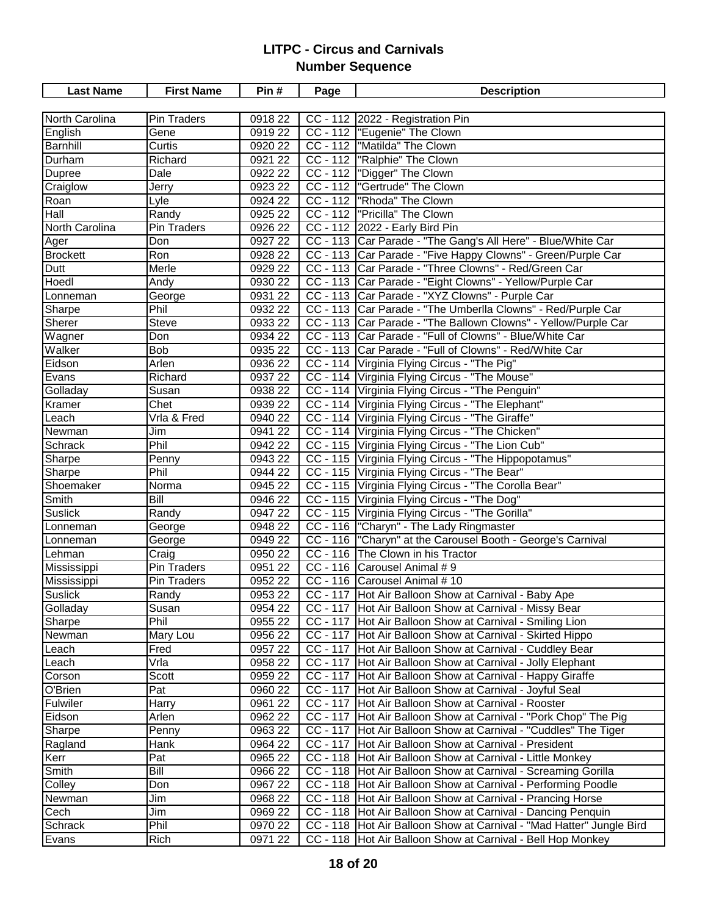| <b>Last Name</b> | <b>First Name</b> | Pin#    | Page       | <b>Description</b>                                                     |
|------------------|-------------------|---------|------------|------------------------------------------------------------------------|
|                  |                   |         |            |                                                                        |
| North Carolina   | Pin Traders       | 0918 22 |            | CC - 112 2022 - Registration Pin                                       |
| English          | Gene              | 0919 22 |            | CC - 112  "Eugenie" The Clown                                          |
| Barnhill         | Curtis            | 0920 22 |            | CC - 112  "Matilda" The Clown                                          |
| Durham           | Richard           | 0921 22 |            | CC - 112  "Ralphie" The Clown                                          |
| Dupree           | Dale              | 0922 22 |            | CC - 112 "Digger" The Clown                                            |
| Craiglow         | Jerry             | 0923 22 |            | CC - 112  "Gertrude" The Clown                                         |
| Roan             | Lyle              | 0924 22 |            | CC - 112  "Rhoda" The Clown                                            |
| Hall             | Randy             | 0925 22 |            | CC - 112  "Pricilla" The Clown                                         |
| North Carolina   | Pin Traders       | 0926 22 |            | CC - 112 2022 - Early Bird Pin                                         |
| Ager             | Don               | 0927 22 |            | CC - 113 Car Parade - "The Gang's All Here" - Blue/White Car           |
| <b>Brockett</b>  | Ron               | 0928 22 |            | CC - 113 Car Parade - "Five Happy Clowns" - Green/Purple Car           |
| Dutt             | Merle             | 0929 22 |            | CC - 113 Car Parade - "Three Clowns" - Red/Green Car                   |
| Hoedl            | Andy              | 0930 22 |            | CC - 113 Car Parade - "Eight Clowns" - Yellow/Purple Car               |
| Lonneman         | George            | 0931 22 |            | CC - 113 Car Parade - "XYZ Clowns" - Purple Car                        |
| Sharpe           | Phil              | 0932 22 |            | CC - 113 Car Parade - "The Umberlla Clowns" - Red/Purple Car           |
| Sherer           | <b>Steve</b>      | 0933 22 |            | CC - 113 Car Parade - "The Ballown Clowns" - Yellow/Purple Car         |
| Wagner           | Don               | 0934 22 |            | CC - 113 Car Parade - "Full of Clowns" - Blue/White Car                |
| Walker           | <b>Bob</b>        | 0935 22 |            | CC - 113 Car Parade - "Full of Clowns" - Red/White Car                 |
| Eidson           | Arlen             | 0936 22 |            | CC - 114 Virginia Flying Circus - "The Pig"                            |
| Evans            | Richard           | 0937 22 |            | CC - 114 Virginia Flying Circus - "The Mouse"                          |
| Golladay         | Susan             | 0938 22 |            | CC - 114 Virginia Flying Circus - "The Penguin"                        |
| Kramer           | Chet              | 0939 22 |            | CC - 114 Virginia Flying Circus - "The Elephant"                       |
| Leach            | Vrla & Fred       | 0940 22 |            | CC - 114 Virginia Flying Circus - "The Giraffe"                        |
| Newman           | Jim               | 0941 22 |            | CC - 114 Virginia Flying Circus - "The Chicken"                        |
| <b>Schrack</b>   | Phil              | 0942 22 |            | CC - 115 Virginia Flying Circus - "The Lion Cub"                       |
| Sharpe           | Penny             | 0943 22 |            | CC - 115 Virginia Flying Circus - "The Hippopotamus"                   |
| Sharpe           | Phil              | 0944 22 |            | CC - 115 Virginia Flying Circus - "The Bear"                           |
| Shoemaker        | Norma             | 0945 22 |            | CC - 115 Virginia Flying Circus - "The Corolla Bear"                   |
| Smith            | Bill              | 0946 22 |            | CC - 115 Virginia Flying Circus - "The Dog"                            |
| Suslick          | Randy             | 0947 22 |            | CC - 115 Virginia Flying Circus - "The Gorilla"                        |
| Lonneman         | George            | 0948 22 |            | CC - 116  "Charyn" - The Lady Ringmaster                               |
| Lonneman         | George            | 0949 22 |            | CC - 116  "Charyn" at the Carousel Booth - George's Carnival           |
| Lehman           | Craig             | 0950 22 |            | CC - 116 The Clown in his Tractor                                      |
| Mississippi      | Pin Traders       | 0951 22 |            | CC - 116 Carousel Animal # 9                                           |
| Mississippi      | Pin Traders       | 0952 22 |            | CC - 116 Carousel Animal # 10                                          |
| <b>Suslick</b>   | Randy             | 0953 22 |            | CC - 117 Hot Air Balloon Show at Carnival - Baby Ape                   |
| Golladay         | Susan             | 0954 22 |            | CC - 117 Hot Air Balloon Show at Carnival - Missy Bear                 |
| Sharpe           | Phil              | 0955 22 |            | CC - 117 Hot Air Balloon Show at Carnival - Smiling Lion               |
| Newman           | Mary Lou          | 0956 22 |            | CC - 117 Hot Air Balloon Show at Carnival - Skirted Hippo              |
| Leach            | Fred              | 0957 22 |            | CC - 117 Hot Air Balloon Show at Carnival - Cuddley Bear               |
| Leach            | Vrla              | 0958 22 |            | CC - 117 Hot Air Balloon Show at Carnival - Jolly Elephant             |
| Corson           | Scott             | 0959 22 |            | CC - 117   Hot Air Balloon Show at Carnival - Happy Giraffe            |
| O'Brien          | Pat               | 0960 22 |            | CC - 117   Hot Air Balloon Show at Carnival - Joyful Seal              |
| Fulwiler         | Harry             | 0961 22 | $CC - 117$ | Hot Air Balloon Show at Carnival - Rooster                             |
| Eidson           | Arlen             | 0962 22 | $CC - 117$ | Hot Air Balloon Show at Carnival - "Pork Chop" The Pig                 |
| Sharpe           | Penny             | 0963 22 | $CC - 117$ | Hot Air Balloon Show at Carnival - "Cuddles" The Tiger                 |
| Ragland          | Hank              | 0964 22 | $CC - 117$ | Hot Air Balloon Show at Carnival - President                           |
| Kerr             | Pat               | 0965 22 |            | CC - 118   Hot Air Balloon Show at Carnival - Little Monkey            |
| Smith            | Bill              | 0966 22 |            | CC - 118   Hot Air Balloon Show at Carnival - Screaming Gorilla        |
| Colley           | Don               | 0967 22 |            | CC - 118   Hot Air Balloon Show at Carnival - Performing Poodle        |
| Newman           | Jim               | 0968 22 |            | CC - 118   Hot Air Balloon Show at Carnival - Prancing Horse           |
| Cech             | Jim               | 0969 22 |            | CC - 118   Hot Air Balloon Show at Carnival - Dancing Penquin          |
| Schrack          | Phil              | 0970 22 |            | CC - 118   Hot Air Balloon Show at Carnival - "Mad Hatter" Jungle Bird |
| Evans            | Rich              | 0971 22 |            | CC - 118 Hot Air Balloon Show at Carnival - Bell Hop Monkey            |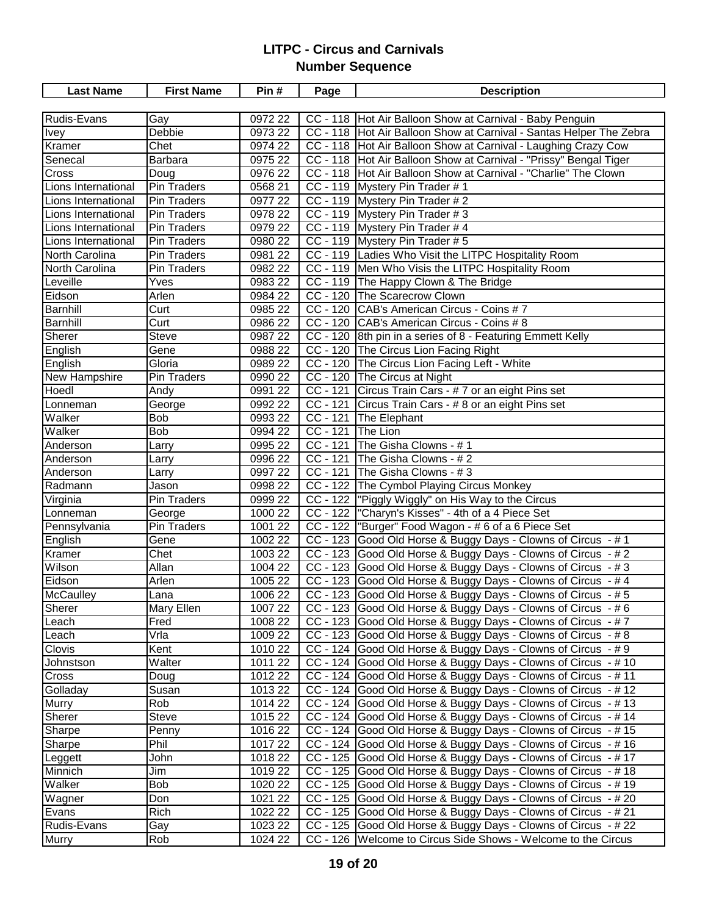| <b>Last Name</b>    | <b>First Name</b>  | Pin#    | Page                  | <b>Description</b>                                                  |
|---------------------|--------------------|---------|-----------------------|---------------------------------------------------------------------|
|                     |                    |         |                       |                                                                     |
| Rudis-Evans         | Gay                | 0972 22 |                       | CC - 118   Hot Air Balloon Show at Carnival - Baby Penguin          |
| <b>Ivey</b>         | Debbie             | 0973 22 |                       | CC - 118 Hot Air Balloon Show at Carnival - Santas Helper The Zebra |
| Kramer              | Chet               | 0974 22 |                       | CC - 118 Hot Air Balloon Show at Carnival - Laughing Crazy Cow      |
| Senecal             | Barbara            | 0975 22 |                       | CC - 118 Hot Air Balloon Show at Carnival - "Prissy" Bengal Tiger   |
| Cross               | Doug               | 0976 22 |                       | CC - 118 Hot Air Balloon Show at Carnival - "Charlie" The Clown     |
| Lions International | Pin Traders        | 0568 21 |                       | CC - 119 Mystery Pin Trader # 1                                     |
| Lions International | <b>Pin Traders</b> | 0977 22 |                       | CC - 119 Mystery Pin Trader # 2                                     |
| Lions International | <b>Pin Traders</b> | 0978 22 |                       | CC - 119 Mystery Pin Trader #3                                      |
| Lions International | Pin Traders        | 0979 22 |                       | CC - 119 Mystery Pin Trader # 4                                     |
| Lions International | Pin Traders        | 0980 22 |                       | CC - 119 Mystery Pin Trader #5                                      |
| North Carolina      | Pin Traders        | 098122  |                       | CC - 119 Ladies Who Visit the LITPC Hospitality Room                |
| North Carolina      | Pin Traders        | 0982 22 |                       | CC - 119 Men Who Visis the LITPC Hospitality Room                   |
| Leveille            | Yves               | 0983 22 |                       | CC - 119 The Happy Clown & The Bridge                               |
| Eidson              | Arlen              | 0984 22 |                       | CC - 120 The Scarecrow Clown                                        |
| Barnhill            | Curt               | 0985 22 |                       | CC - 120 CAB's American Circus - Coins # 7                          |
| Barnhill            | Curt               | 0986 22 |                       | CC - 120 CAB's American Circus - Coins # 8                          |
| Sherer              | <b>Steve</b>       | 0987 22 |                       | CC - 120 8th pin in a series of 8 - Featuring Emmett Kelly          |
| English             | Gene               | 0988 22 |                       | CC - 120 The Circus Lion Facing Right                               |
| English             | Gloria             | 0989 22 |                       | CC - 120 The Circus Lion Facing Left - White                        |
| New Hampshire       | Pin Traders        | 0990 22 |                       | CC - 120 The Circus at Night                                        |
| Hoedl               | Andy               | 0991 22 | $CC - 121$            | Circus Train Cars - # 7 or an eight Pins set                        |
| Lonneman            | George             | 0992 22 | $CC - 121$            | Circus Train Cars - # 8 or an eight Pins set                        |
| Walker              | <b>Bob</b>         | 0993 22 | $CC - 121$            | The Elephant                                                        |
| Walker              | <b>Bob</b>         | 0994 22 | $CC - 121$            | The Lion                                                            |
| Anderson            | Larry              | 0995 22 | $CC - 121$            | The Gisha Clowns - #1                                               |
| Anderson            | Larry              | 0996 22 | $CC - 121$            | The Gisha Clowns - #2                                               |
| Anderson            | Larry              | 0997 22 | $CC - 121$            | The Gisha Clowns - #3                                               |
| Radmann             | Jason              | 0998 22 |                       | CC - 122 The Cymbol Playing Circus Monkey                           |
| Virginia            | Pin Traders        | 0999 22 | CC - 122              | "Piggly Wiggly" on His Way to the Circus                            |
| Lonneman            | George             | 1000 22 | $CC - 122$            | "Charyn's Kisses" - 4th of a 4 Piece Set                            |
| Pennsylvania        | Pin Traders        | 1001 22 | $\overline{CC}$ - 122 | "Burger" Food Wagon - # 6 of a 6 Piece Set                          |
| English             | Gene               | 1002 22 | $CC - 123$            | Good Old Horse & Buggy Days - Clowns of Circus - #1                 |
| Kramer              | Chet               | 1003 22 |                       | CC - 123 Good Old Horse & Buggy Days - Clowns of Circus - #2        |
| Wilson              | Allan              | 1004 22 |                       | CC - 123 Good Old Horse & Buggy Days - Clowns of Circus - #3        |
| Eidson              | Arlen              | 1005 22 |                       | CC - 123 Good Old Horse & Buggy Days - Clowns of Circus - #4        |
| McCaulley           | Lana               | 1006 22 |                       | CC - 123 Good Old Horse & Buggy Days - Clowns of Circus - #5        |
| Sherer              | Mary Ellen         | 1007 22 |                       | CC - 123 Good Old Horse & Buggy Days - Clowns of Circus - #6        |
| Leach               | Fred               | 1008 22 |                       | CC - 123 Good Old Horse & Buggy Days - Clowns of Circus - #7        |
| Leach               | Vrla               | 1009 22 |                       | CC - 123 Good Old Horse & Buggy Days - Clowns of Circus - #8        |
| Clovis              | Kent               | 1010 22 |                       | CC - 124 Good Old Horse & Buggy Days - Clowns of Circus - #9        |
| Johnstson           | Walter             | 1011 22 |                       | CC - 124 Good Old Horse & Buggy Days - Clowns of Circus - #10       |
| Cross               | Doug               | 1012 22 |                       | CC - 124 Good Old Horse & Buggy Days - Clowns of Circus - # 11      |
| Golladay            | Susan              | 1013 22 |                       | CC - 124 Good Old Horse & Buggy Days - Clowns of Circus - #12       |
| Murry               | Rob                | 1014 22 |                       | CC - 124 Good Old Horse & Buggy Days - Clowns of Circus - #13       |
| Sherer              | <b>Steve</b>       | 1015 22 |                       | CC - 124 Good Old Horse & Buggy Days - Clowns of Circus - #14       |
| Sharpe              | Penny              | 1016 22 |                       | CC - 124 Good Old Horse & Buggy Days - Clowns of Circus - #15       |
| Sharpe              | Phil               | 1017 22 |                       | CC - 124 Good Old Horse & Buggy Days - Clowns of Circus - #16       |
| Leggett             | John               | 1018 22 |                       | CC - 125 Good Old Horse & Buggy Days - Clowns of Circus - #17       |
| Minnich             | Jim                | 1019 22 |                       | CC - 125 Good Old Horse & Buggy Days - Clowns of Circus - #18       |
| Walker              | Bob                | 1020 22 |                       | CC - 125 Good Old Horse & Buggy Days - Clowns of Circus - #19       |
| Wagner              | Don                | 1021 22 | $CC - 125$            | Good Old Horse & Buggy Days - Clowns of Circus - # 20               |
| Evans               | Rich               | 1022 22 |                       | CC - 125 Good Old Horse & Buggy Days - Clowns of Circus - #21       |
| <b>Rudis-Evans</b>  | Gay                | 1023 22 |                       | CC - 125 Good Old Horse & Buggy Days - Clowns of Circus - #22       |
| <b>Murry</b>        | Rob                | 1024 22 |                       | CC - 126 Welcome to Circus Side Shows - Welcome to the Circus       |